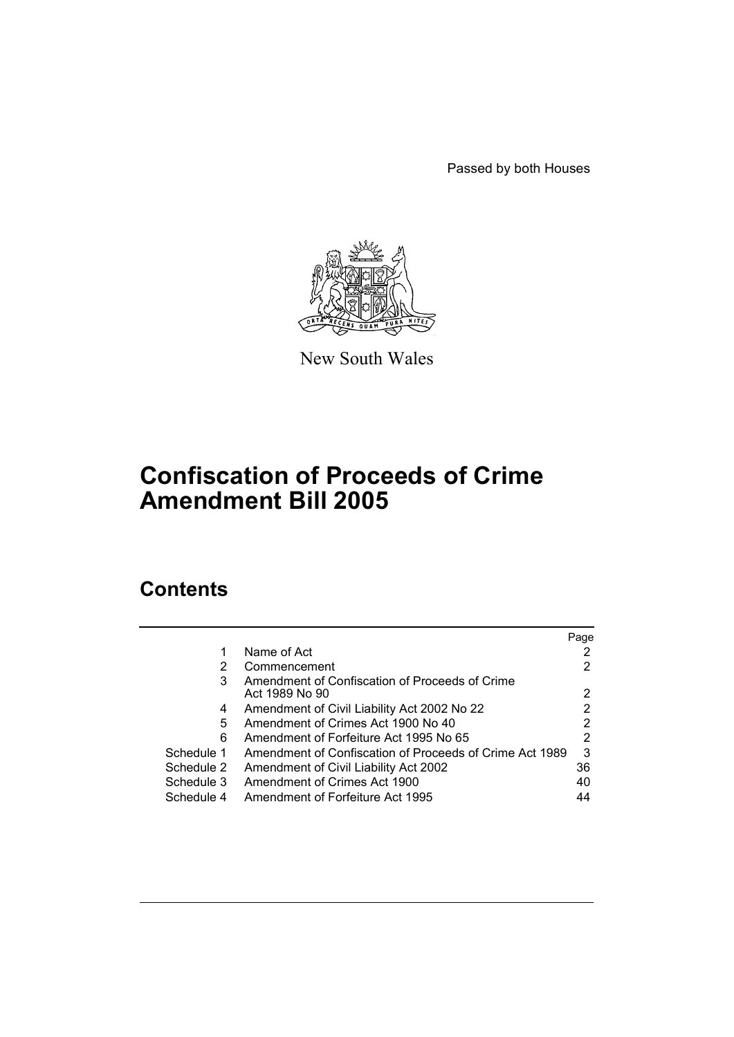Passed by both Houses



New South Wales

# **Confiscation of Proceeds of Crime Amendment Bill 2005**

# **Contents**

|            |                                                         | Page |
|------------|---------------------------------------------------------|------|
|            | Name of Act                                             |      |
| 2          | Commencement                                            |      |
| 3          | Amendment of Confiscation of Proceeds of Crime          |      |
|            | Act 1989 No 90                                          | 2    |
| 4          | Amendment of Civil Liability Act 2002 No 22             | 2    |
| 5          | Amendment of Crimes Act 1900 No 40                      |      |
| 6          | Amendment of Forfeiture Act 1995 No 65                  | 2    |
| Schedule 1 | Amendment of Confiscation of Proceeds of Crime Act 1989 | 3    |
| Schedule 2 | Amendment of Civil Liability Act 2002                   | 36   |
| Schedule 3 | Amendment of Crimes Act 1900                            | 40   |
| Schedule 4 | Amendment of Forfeiture Act 1995                        | 44   |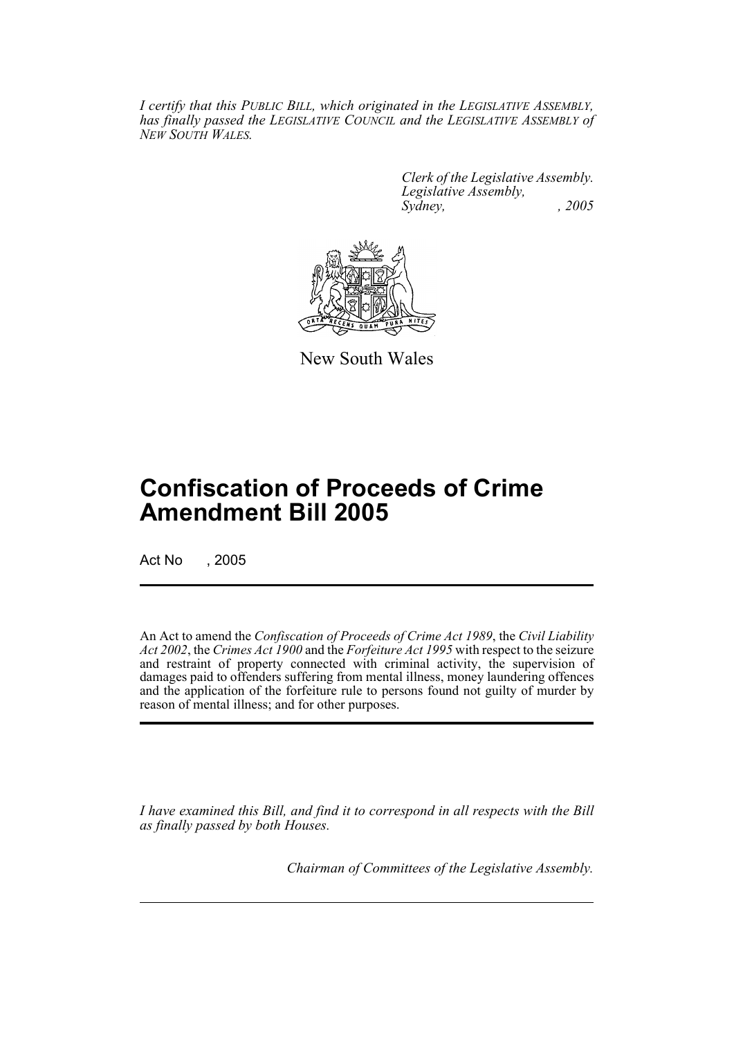*I certify that this PUBLIC BILL, which originated in the LEGISLATIVE ASSEMBLY, has finally passed the LEGISLATIVE COUNCIL and the LEGISLATIVE ASSEMBLY of NEW SOUTH WALES.*

> *Clerk of the Legislative Assembly. Legislative Assembly, Sydney, , 2005*



New South Wales

# **Confiscation of Proceeds of Crime Amendment Bill 2005**

Act No , 2005

An Act to amend the *Confiscation of Proceeds of Crime Act 1989*, the *Civil Liability Act 2002*, the *Crimes Act 1900* and the *Forfeiture Act 1995* with respect to the seizure and restraint of property connected with criminal activity, the supervision of damages paid to offenders suffering from mental illness, money laundering offences and the application of the forfeiture rule to persons found not guilty of murder by reason of mental illness; and for other purposes.

*I have examined this Bill, and find it to correspond in all respects with the Bill as finally passed by both Houses.*

*Chairman of Committees of the Legislative Assembly.*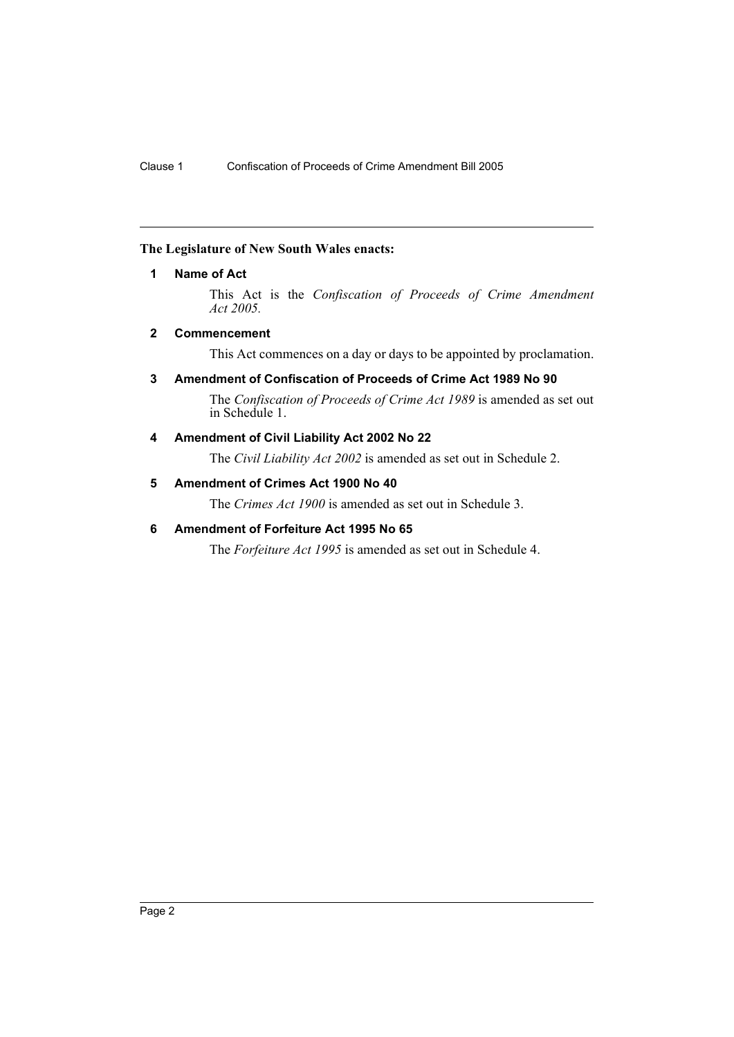# <span id="page-2-0"></span>**The Legislature of New South Wales enacts:**

# **1 Name of Act**

This Act is the *Confiscation of Proceeds of Crime Amendment Act 2005.*

# <span id="page-2-1"></span>**2 Commencement**

This Act commences on a day or days to be appointed by proclamation.

# <span id="page-2-2"></span>**3 Amendment of Confiscation of Proceeds of Crime Act 1989 No 90**

The *Confiscation of Proceeds of Crime Act 1989* is amended as set out in Schedule 1.

# <span id="page-2-3"></span>**4 Amendment of Civil Liability Act 2002 No 22**

The *Civil Liability Act 2002* is amended as set out in Schedule 2.

# <span id="page-2-4"></span>**5 Amendment of Crimes Act 1900 No 40**

The *Crimes Act 1900* is amended as set out in Schedule 3.

# <span id="page-2-5"></span>**6 Amendment of Forfeiture Act 1995 No 65**

The *Forfeiture Act 1995* is amended as set out in Schedule 4.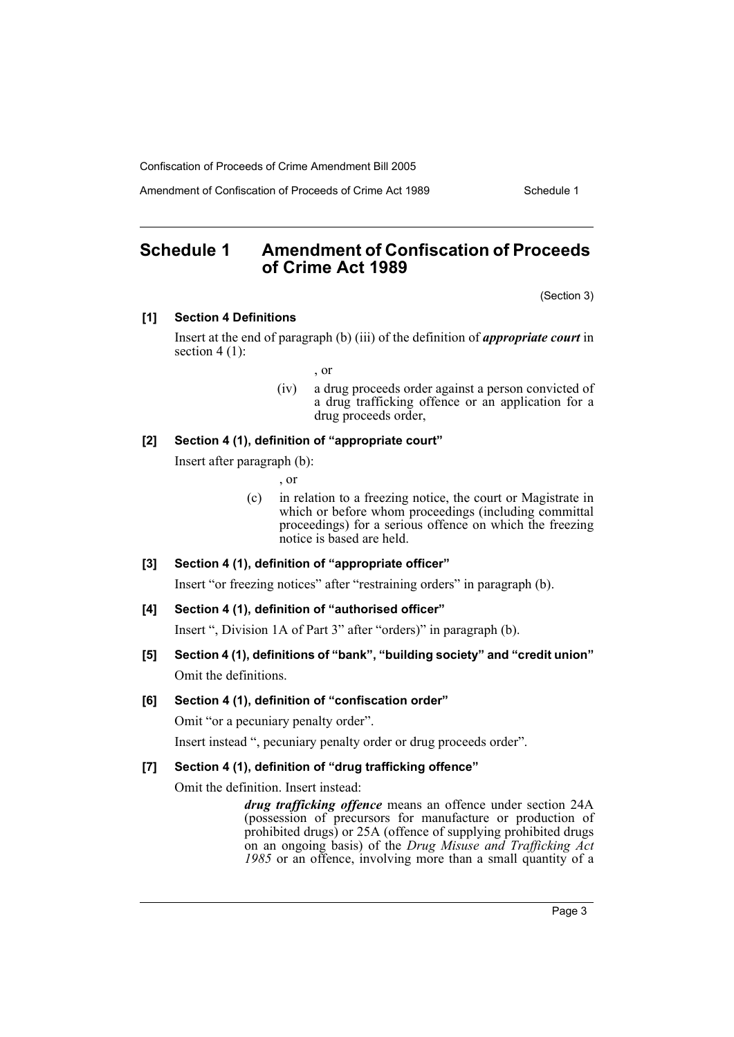Amendment of Confiscation of Proceeds of Crime Act 1989 Schedule 1

# <span id="page-3-0"></span>**Schedule 1 Amendment of Confiscation of Proceeds of Crime Act 1989**

(Section 3)

### **[1] Section 4 Definitions**

Insert at the end of paragraph (b) (iii) of the definition of *appropriate court* in section  $4(1)$ :

, or

(iv) a drug proceeds order against a person convicted of a drug trafficking offence or an application for a drug proceeds order,

# **[2] Section 4 (1), definition of "appropriate court"**

Insert after paragraph (b):

, or

(c) in relation to a freezing notice, the court or Magistrate in which or before whom proceedings (including committal proceedings) for a serious offence on which the freezing notice is based are held.

### **[3] Section 4 (1), definition of "appropriate officer"**

Insert "or freezing notices" after "restraining orders" in paragraph (b).

### **[4] Section 4 (1), definition of "authorised officer"**

Insert ", Division 1A of Part 3" after "orders)" in paragraph (b).

**[5] Section 4 (1), definitions of "bank", "building society" and "credit union"** Omit the definitions.

### **[6] Section 4 (1), definition of "confiscation order"**

Omit "or a pecuniary penalty order".

Insert instead ", pecuniary penalty order or drug proceeds order".

### **[7] Section 4 (1), definition of "drug trafficking offence"**

Omit the definition. Insert instead:

*drug trafficking offence* means an offence under section 24A (possession of precursors for manufacture or production of prohibited drugs) or 25A (offence of supplying prohibited drugs on an ongoing basis) of the *Drug Misuse and Trafficking Act 1985* or an offence, involving more than a small quantity of a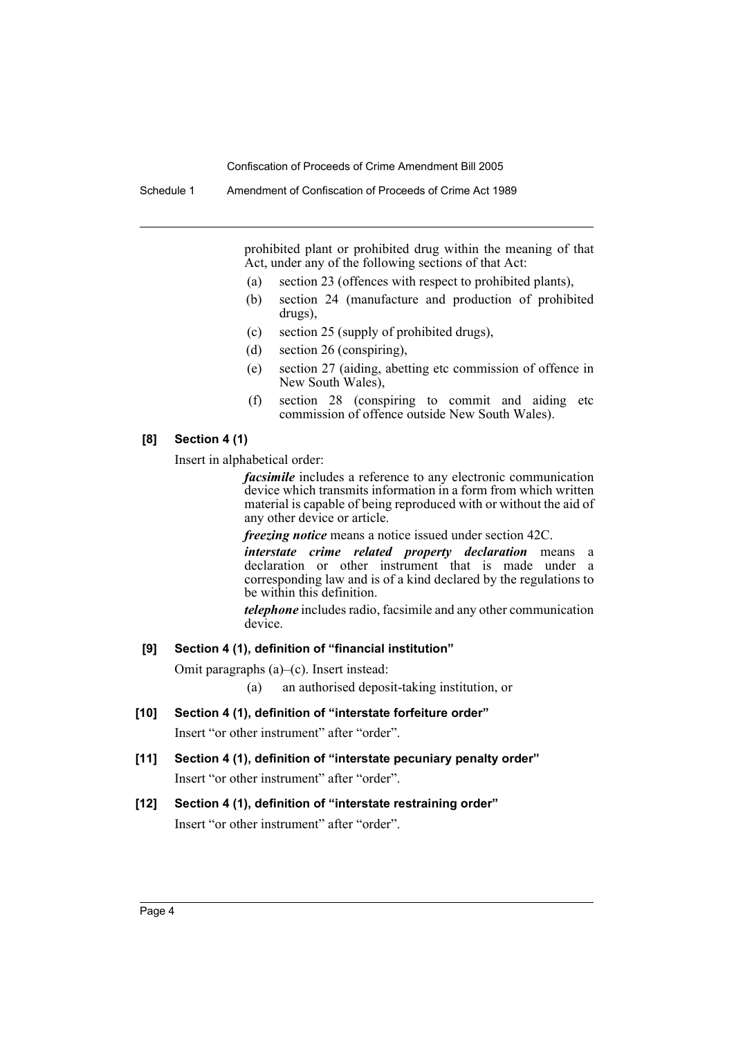Schedule 1 Amendment of Confiscation of Proceeds of Crime Act 1989

prohibited plant or prohibited drug within the meaning of that Act, under any of the following sections of that Act:

- (a) section 23 (offences with respect to prohibited plants),
- (b) section 24 (manufacture and production of prohibited drugs),
- (c) section 25 (supply of prohibited drugs),
- (d) section 26 (conspiring),
- (e) section 27 (aiding, abetting etc commission of offence in New South Wales),
- (f) section 28 (conspiring to commit and aiding etc commission of offence outside New South Wales).

#### **[8] Section 4 (1)**

Insert in alphabetical order:

*facsimile* includes a reference to any electronic communication device which transmits information in a form from which written material is capable of being reproduced with or without the aid of any other device or article.

*freezing notice* means a notice issued under section 42C.

*interstate crime related property declaration* means a declaration or other instrument that is made under a corresponding law and is of a kind declared by the regulations to be within this definition.

*telephone* includes radio, facsimile and any other communication device.

#### **[9] Section 4 (1), definition of "financial institution"**

Omit paragraphs (a)–(c). Insert instead:

(a) an authorised deposit-taking institution, or

**[10] Section 4 (1), definition of "interstate forfeiture order"**

Insert "or other instrument" after "order".

**[11] Section 4 (1), definition of "interstate pecuniary penalty order"** Insert "or other instrument" after "order".

# **[12] Section 4 (1), definition of "interstate restraining order"**

Insert "or other instrument" after "order".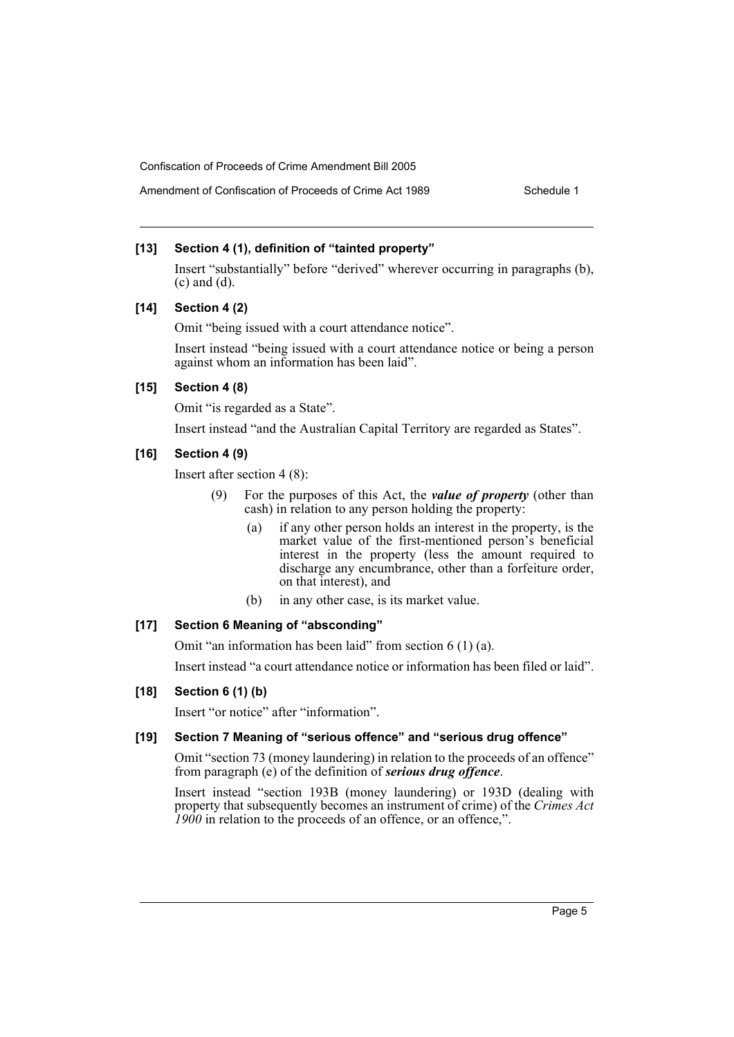# Amendment of Confiscation of Proceeds of Crime Act 1989 Schedule 1

#### **[13] Section 4 (1), definition of "tainted property"**

Insert "substantially" before "derived" wherever occurring in paragraphs (b), (c) and (d).

#### **[14] Section 4 (2)**

Omit "being issued with a court attendance notice".

Insert instead "being issued with a court attendance notice or being a person against whom an information has been laid".

#### **[15] Section 4 (8)**

Omit "is regarded as a State".

Insert instead "and the Australian Capital Territory are regarded as States".

#### **[16] Section 4 (9)**

Insert after section 4 (8):

- (9) For the purposes of this Act, the *value of property* (other than cash) in relation to any person holding the property:
	- (a) if any other person holds an interest in the property, is the market value of the first-mentioned person's beneficial interest in the property (less the amount required to discharge any encumbrance, other than a forfeiture order, on that interest), and
	- (b) in any other case, is its market value.

### **[17] Section 6 Meaning of "absconding"**

Omit "an information has been laid" from section 6 (1) (a).

Insert instead "a court attendance notice or information has been filed or laid".

#### **[18] Section 6 (1) (b)**

Insert "or notice" after "information".

#### **[19] Section 7 Meaning of "serious offence" and "serious drug offence"**

Omit "section 73 (money laundering) in relation to the proceeds of an offence" from paragraph (e) of the definition of *serious drug offence*.

Insert instead "section 193B (money laundering) or 193D (dealing with property that subsequently becomes an instrument of crime) of the *Crimes Act 1900* in relation to the proceeds of an offence, or an offence,".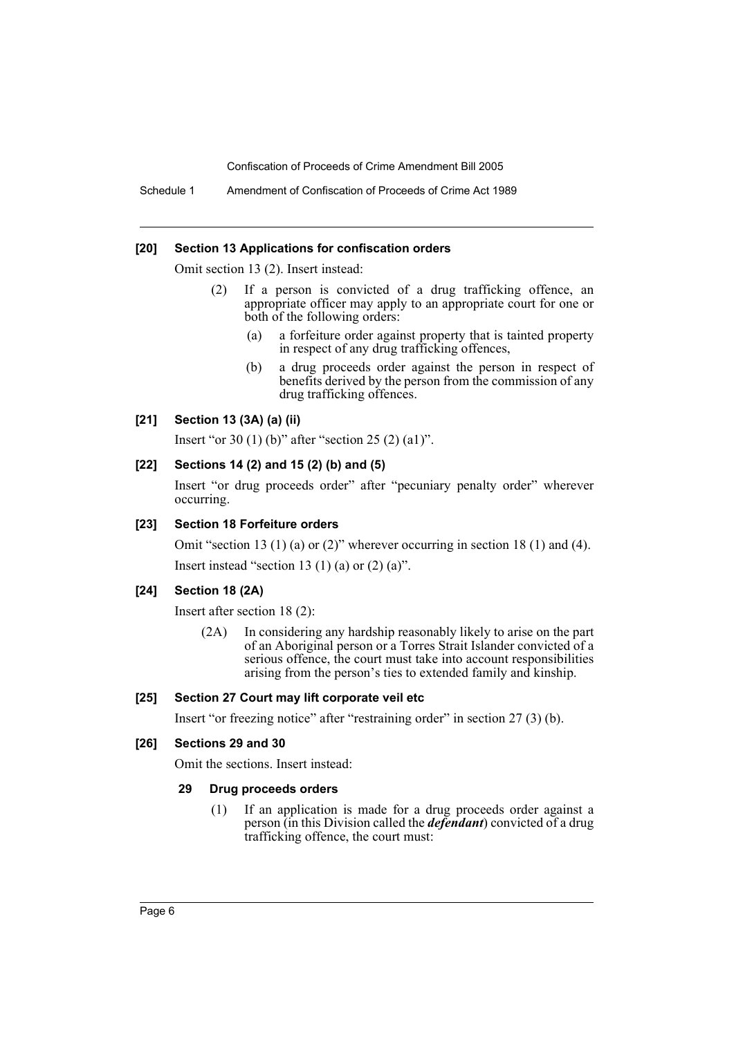Schedule 1 Amendment of Confiscation of Proceeds of Crime Act 1989

#### **[20] Section 13 Applications for confiscation orders**

Omit section 13 (2). Insert instead:

- (2) If a person is convicted of a drug trafficking offence, an appropriate officer may apply to an appropriate court for one or both of the following orders:
	- (a) a forfeiture order against property that is tainted property in respect of any drug trafficking offences,
	- (b) a drug proceeds order against the person in respect of benefits derived by the person from the commission of any drug trafficking offences.

### **[21] Section 13 (3A) (a) (ii)**

Insert "or 30 (1) (b)" after "section 25 (2) (a1)".

### **[22] Sections 14 (2) and 15 (2) (b) and (5)**

Insert "or drug proceeds order" after "pecuniary penalty order" wherever occurring.

#### **[23] Section 18 Forfeiture orders**

Omit "section 13 (1) (a) or (2)" wherever occurring in section 18 (1) and (4). Insert instead "section 13 (1) (a) or  $(2)$  (a)".

### **[24] Section 18 (2A)**

Insert after section 18 (2):

(2A) In considering any hardship reasonably likely to arise on the part of an Aboriginal person or a Torres Strait Islander convicted of a serious offence, the court must take into account responsibilities arising from the person's ties to extended family and kinship.

### **[25] Section 27 Court may lift corporate veil etc**

Insert "or freezing notice" after "restraining order" in section 27 (3) (b).

### **[26] Sections 29 and 30**

Omit the sections. Insert instead:

#### **29 Drug proceeds orders**

(1) If an application is made for a drug proceeds order against a person (in this Division called the *defendant*) convicted of a drug trafficking offence, the court must: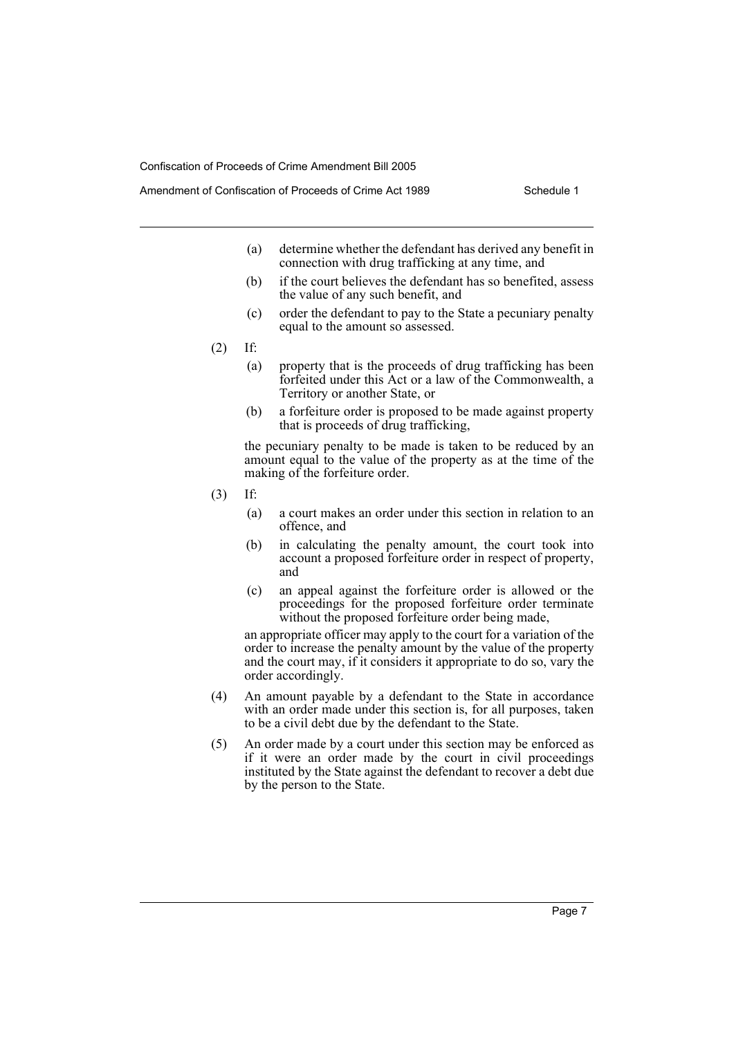- (a) determine whether the defendant has derived any benefit in connection with drug trafficking at any time, and
- (b) if the court believes the defendant has so benefited, assess the value of any such benefit, and
- (c) order the defendant to pay to the State a pecuniary penalty equal to the amount so assessed.
- (2) If:
	- (a) property that is the proceeds of drug trafficking has been forfeited under this Act or a law of the Commonwealth, a Territory or another State, or
	- (b) a forfeiture order is proposed to be made against property that is proceeds of drug trafficking,

the pecuniary penalty to be made is taken to be reduced by an amount equal to the value of the property as at the time of the making of the forfeiture order.

- (3) If:
	- (a) a court makes an order under this section in relation to an offence, and
	- (b) in calculating the penalty amount, the court took into account a proposed forfeiture order in respect of property, and
	- (c) an appeal against the forfeiture order is allowed or the proceedings for the proposed forfeiture order terminate without the proposed forfeiture order being made,

an appropriate officer may apply to the court for a variation of the order to increase the penalty amount by the value of the property and the court may, if it considers it appropriate to do so, vary the order accordingly.

- (4) An amount payable by a defendant to the State in accordance with an order made under this section is, for all purposes, taken to be a civil debt due by the defendant to the State.
- (5) An order made by a court under this section may be enforced as if it were an order made by the court in civil proceedings instituted by the State against the defendant to recover a debt due by the person to the State.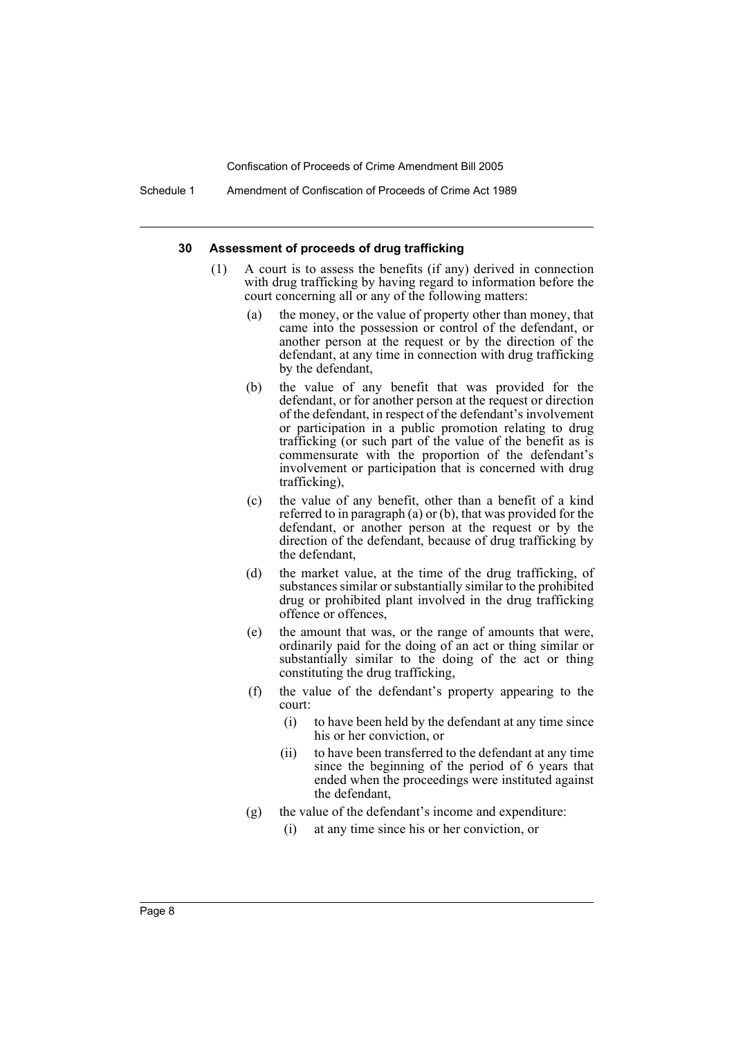#### **30 Assessment of proceeds of drug trafficking**

- (1) A court is to assess the benefits (if any) derived in connection with drug trafficking by having regard to information before the court concerning all or any of the following matters:
	- (a) the money, or the value of property other than money, that came into the possession or control of the defendant, or another person at the request or by the direction of the defendant, at any time in connection with drug trafficking by the defendant,
	- (b) the value of any benefit that was provided for the defendant, or for another person at the request or direction of the defendant, in respect of the defendant's involvement or participation in a public promotion relating to drug trafficking (or such part of the value of the benefit as is commensurate with the proportion of the defendant's involvement or participation that is concerned with drug trafficking),
	- (c) the value of any benefit, other than a benefit of a kind referred to in paragraph (a) or (b), that was provided for the defendant, or another person at the request or by the direction of the defendant, because of drug trafficking by the defendant,
	- (d) the market value, at the time of the drug trafficking, of substances similar or substantially similar to the prohibited drug or prohibited plant involved in the drug trafficking offence or offences,
	- (e) the amount that was, or the range of amounts that were, ordinarily paid for the doing of an act or thing similar or substantially similar to the doing of the act or thing constituting the drug trafficking,
	- (f) the value of the defendant's property appearing to the court:
		- (i) to have been held by the defendant at any time since his or her conviction, or
		- (ii) to have been transferred to the defendant at any time since the beginning of the period of 6 years that ended when the proceedings were instituted against the defendant,
	- (g) the value of the defendant's income and expenditure:
		- (i) at any time since his or her conviction, or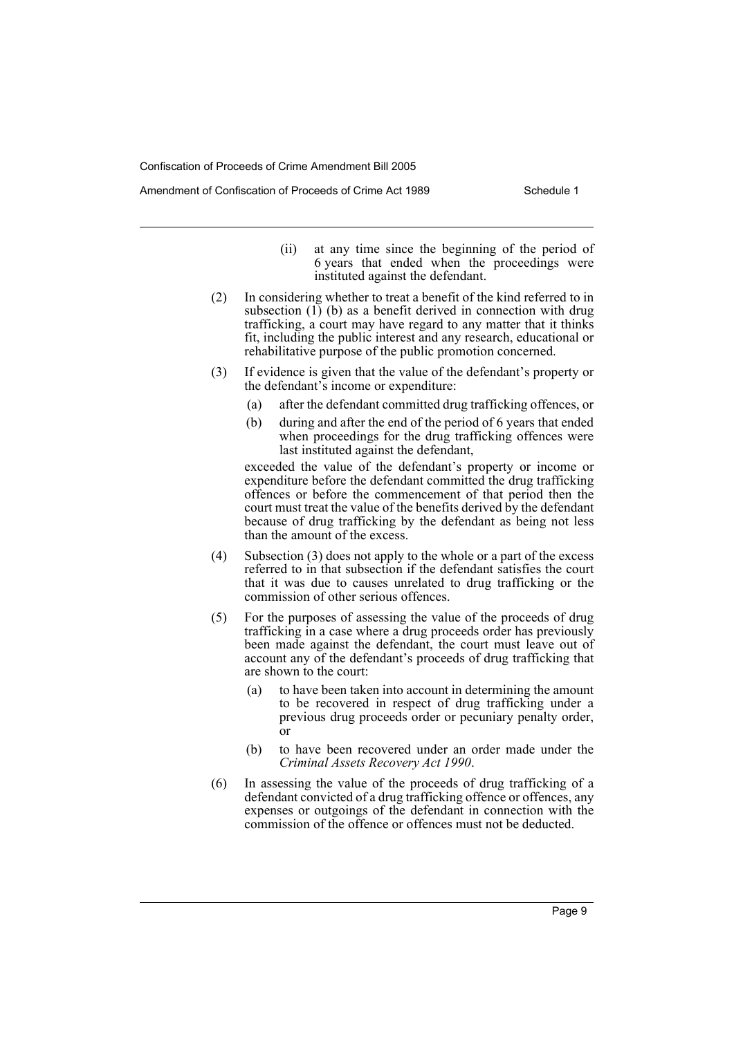Amendment of Confiscation of Proceeds of Crime Act 1989 Schedule 1

- (ii) at any time since the beginning of the period of 6 years that ended when the proceedings were instituted against the defendant.
- (2) In considering whether to treat a benefit of the kind referred to in subsection (1) (b) as a benefit derived in connection with drug trafficking, a court may have regard to any matter that it thinks fit, including the public interest and any research, educational or rehabilitative purpose of the public promotion concerned.
- (3) If evidence is given that the value of the defendant's property or the defendant's income or expenditure:
	- (a) after the defendant committed drug trafficking offences, or
	- (b) during and after the end of the period of 6 years that ended when proceedings for the drug trafficking offences were last instituted against the defendant,

exceeded the value of the defendant's property or income or expenditure before the defendant committed the drug trafficking offences or before the commencement of that period then the court must treat the value of the benefits derived by the defendant because of drug trafficking by the defendant as being not less than the amount of the excess.

- (4) Subsection (3) does not apply to the whole or a part of the excess referred to in that subsection if the defendant satisfies the court that it was due to causes unrelated to drug trafficking or the commission of other serious offences.
- (5) For the purposes of assessing the value of the proceeds of drug trafficking in a case where a drug proceeds order has previously been made against the defendant, the court must leave out of account any of the defendant's proceeds of drug trafficking that are shown to the court:
	- (a) to have been taken into account in determining the amount to be recovered in respect of drug trafficking under a previous drug proceeds order or pecuniary penalty order, or
	- (b) to have been recovered under an order made under the *Criminal Assets Recovery Act 1990*.
- (6) In assessing the value of the proceeds of drug trafficking of a defendant convicted of a drug trafficking offence or offences, any expenses or outgoings of the defendant in connection with the commission of the offence or offences must not be deducted.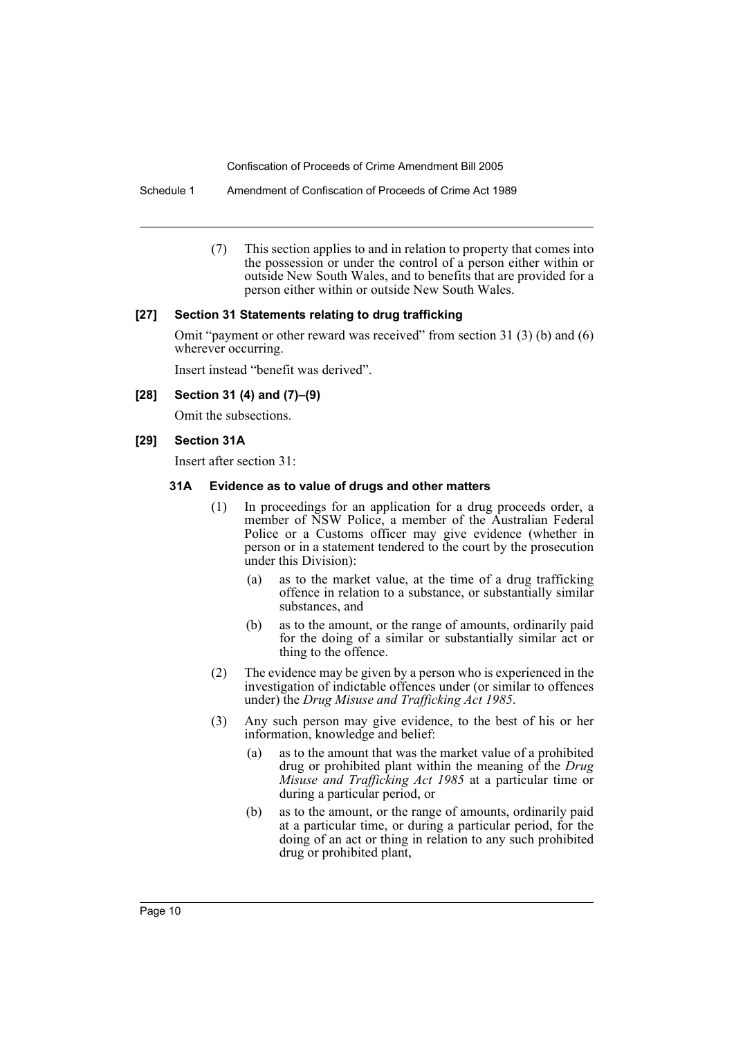Schedule 1 Amendment of Confiscation of Proceeds of Crime Act 1989

(7) This section applies to and in relation to property that comes into the possession or under the control of a person either within or outside New South Wales, and to benefits that are provided for a person either within or outside New South Wales.

#### **[27] Section 31 Statements relating to drug trafficking**

Omit "payment or other reward was received" from section 31 (3) (b) and (6) wherever occurring.

Insert instead "benefit was derived".

#### **[28] Section 31 (4) and (7)–(9)**

Omit the subsections.

#### **[29] Section 31A**

Insert after section 31:

#### **31A Evidence as to value of drugs and other matters**

- (1) In proceedings for an application for a drug proceeds order, a member of NSW Police, a member of the Australian Federal Police or a Customs officer may give evidence (whether in person or in a statement tendered to the court by the prosecution under this Division):
	- (a) as to the market value, at the time of a drug trafficking offence in relation to a substance, or substantially similar substances, and
	- (b) as to the amount, or the range of amounts, ordinarily paid for the doing of a similar or substantially similar act or thing to the offence.
- (2) The evidence may be given by a person who is experienced in the investigation of indictable offences under (or similar to offences under) the *Drug Misuse and Trafficking Act 1985*.
- (3) Any such person may give evidence, to the best of his or her information, knowledge and belief:
	- (a) as to the amount that was the market value of a prohibited drug or prohibited plant within the meaning of the *Drug Misuse and Trafficking Act 1985* at a particular time or during a particular period, or
	- (b) as to the amount, or the range of amounts, ordinarily paid at a particular time, or during a particular period, for the doing of an act or thing in relation to any such prohibited drug or prohibited plant,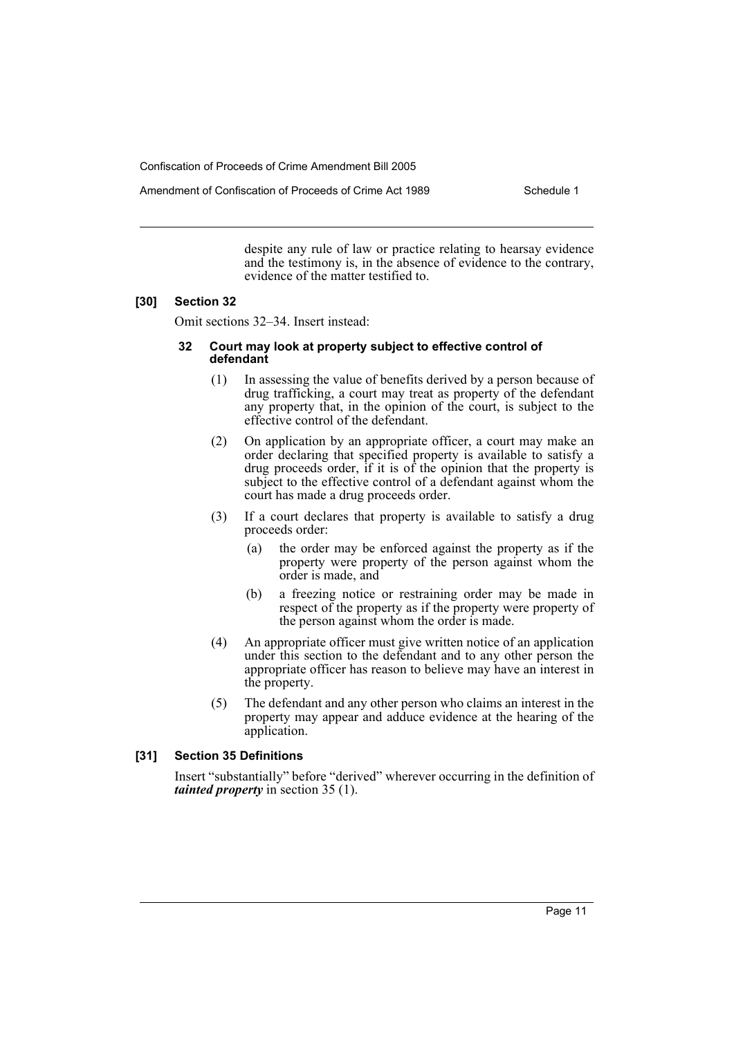Amendment of Confiscation of Proceeds of Crime Act 1989 Schedule 1

despite any rule of law or practice relating to hearsay evidence and the testimony is, in the absence of evidence to the contrary, evidence of the matter testified to.

#### **[30] Section 32**

Omit sections 32–34. Insert instead:

#### **32 Court may look at property subject to effective control of defendant**

- (1) In assessing the value of benefits derived by a person because of drug trafficking, a court may treat as property of the defendant any property that, in the opinion of the court, is subject to the effective control of the defendant.
- (2) On application by an appropriate officer, a court may make an order declaring that specified property is available to satisfy a drug proceeds order, if it is of the opinion that the property is subject to the effective control of a defendant against whom the court has made a drug proceeds order.
- (3) If a court declares that property is available to satisfy a drug proceeds order:
	- (a) the order may be enforced against the property as if the property were property of the person against whom the order is made, and
	- (b) a freezing notice or restraining order may be made in respect of the property as if the property were property of the person against whom the order is made.
- (4) An appropriate officer must give written notice of an application under this section to the defendant and to any other person the appropriate officer has reason to believe may have an interest in the property.
- (5) The defendant and any other person who claims an interest in the property may appear and adduce evidence at the hearing of the application.

#### **[31] Section 35 Definitions**

Insert "substantially" before "derived" wherever occurring in the definition of *tainted property* in section 35 (1).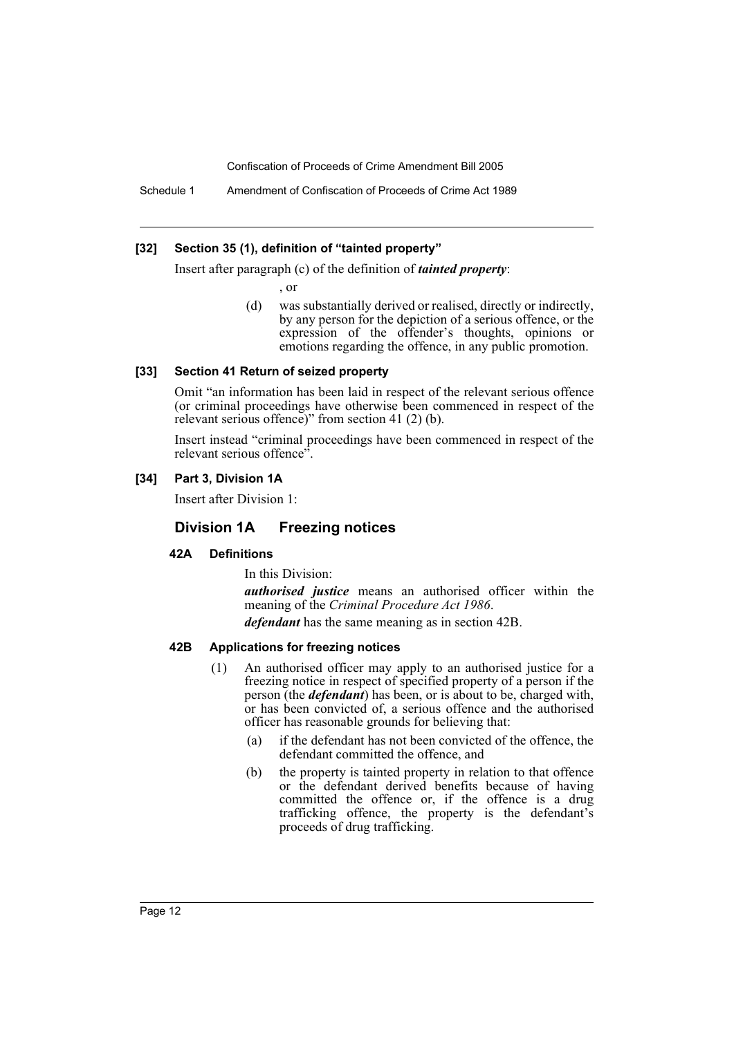Schedule 1 Amendment of Confiscation of Proceeds of Crime Act 1989

#### **[32] Section 35 (1), definition of "tainted property"**

Insert after paragraph (c) of the definition of *tainted property*:

- , or
- (d) was substantially derived or realised, directly or indirectly, by any person for the depiction of a serious offence, or the expression of the offender's thoughts, opinions or emotions regarding the offence, in any public promotion.

#### **[33] Section 41 Return of seized property**

Omit "an information has been laid in respect of the relevant serious offence (or criminal proceedings have otherwise been commenced in respect of the relevant serious offence)" from section 41 (2) (b).

Insert instead "criminal proceedings have been commenced in respect of the relevant serious offence".

#### **[34] Part 3, Division 1A**

Insert after Division 1:

### **Division 1A Freezing notices**

#### **42A Definitions**

In this Division:

*authorised justice* means an authorised officer within the meaning of the *Criminal Procedure Act 1986*.

*defendant* has the same meaning as in section 42B.

#### **42B Applications for freezing notices**

- (1) An authorised officer may apply to an authorised justice for a freezing notice in respect of specified property of a person if the person (the *defendant*) has been, or is about to be, charged with, or has been convicted of, a serious offence and the authorised officer has reasonable grounds for believing that:
	- (a) if the defendant has not been convicted of the offence, the defendant committed the offence, and
	- (b) the property is tainted property in relation to that offence or the defendant derived benefits because of having committed the offence or, if the offence is a drug trafficking offence, the property is the defendant's proceeds of drug trafficking.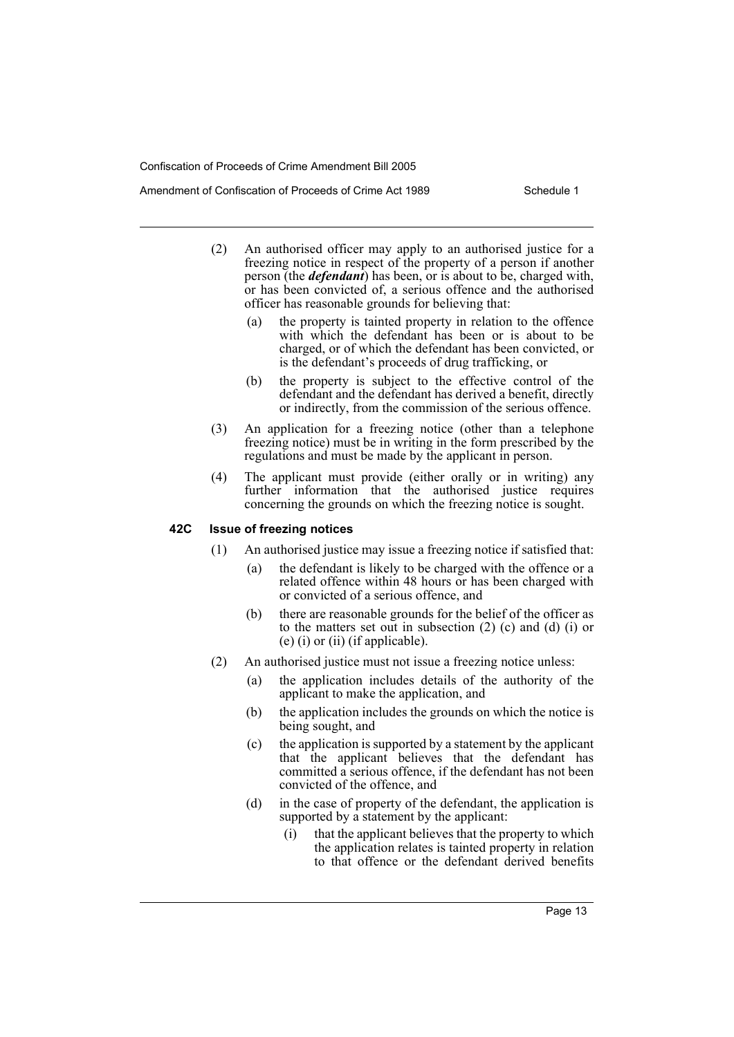- (2) An authorised officer may apply to an authorised justice for a freezing notice in respect of the property of a person if another person (the *defendant*) has been, or is about to be, charged with, or has been convicted of, a serious offence and the authorised officer has reasonable grounds for believing that:
	- (a) the property is tainted property in relation to the offence with which the defendant has been or is about to be charged, or of which the defendant has been convicted, or is the defendant's proceeds of drug trafficking, or
	- (b) the property is subject to the effective control of the defendant and the defendant has derived a benefit, directly or indirectly, from the commission of the serious offence.
- (3) An application for a freezing notice (other than a telephone freezing notice) must be in writing in the form prescribed by the regulations and must be made by the applicant in person.
- (4) The applicant must provide (either orally or in writing) any further information that the authorised justice requires concerning the grounds on which the freezing notice is sought.

#### **42C Issue of freezing notices**

- (1) An authorised justice may issue a freezing notice if satisfied that:
	- (a) the defendant is likely to be charged with the offence or a related offence within 48 hours or has been charged with or convicted of a serious offence, and
	- (b) there are reasonable grounds for the belief of the officer as to the matters set out in subsection (2) (c) and (d) (i) or (e) (i) or (ii) (if applicable).
- (2) An authorised justice must not issue a freezing notice unless:
	- (a) the application includes details of the authority of the applicant to make the application, and
	- (b) the application includes the grounds on which the notice is being sought, and
	- (c) the application is supported by a statement by the applicant that the applicant believes that the defendant has committed a serious offence, if the defendant has not been convicted of the offence, and
	- (d) in the case of property of the defendant, the application is supported by a statement by the applicant:
		- (i) that the applicant believes that the property to which the application relates is tainted property in relation to that offence or the defendant derived benefits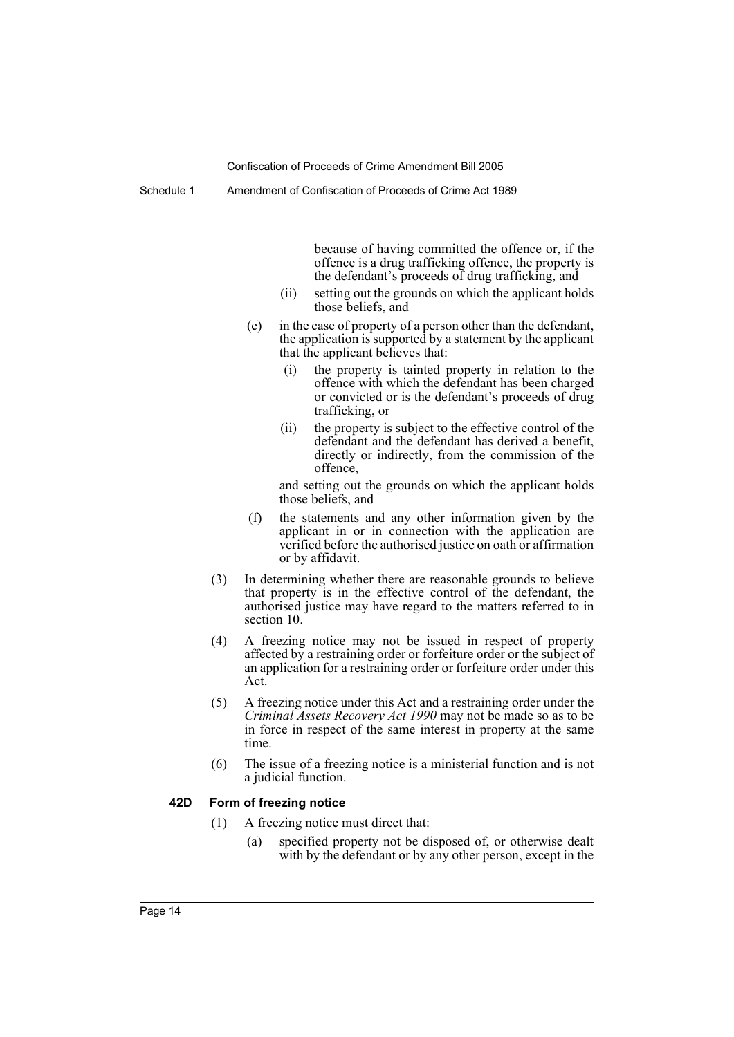Schedule 1 Amendment of Confiscation of Proceeds of Crime Act 1989

because of having committed the offence or, if the offence is a drug trafficking offence, the property is the defendant's proceeds of drug trafficking, and

- (ii) setting out the grounds on which the applicant holds those beliefs, and
- (e) in the case of property of a person other than the defendant, the application is supported by a statement by the applicant that the applicant believes that:
	- (i) the property is tainted property in relation to the offence with which the defendant has been charged or convicted or is the defendant's proceeds of drug trafficking, or
	- (ii) the property is subject to the effective control of the defendant and the defendant has derived a benefit, directly or indirectly, from the commission of the offence,

and setting out the grounds on which the applicant holds those beliefs, and

- (f) the statements and any other information given by the applicant in or in connection with the application are verified before the authorised justice on oath or affirmation or by affidavit.
- (3) In determining whether there are reasonable grounds to believe that property is in the effective control of the defendant, the authorised justice may have regard to the matters referred to in section 10.
- (4) A freezing notice may not be issued in respect of property affected by a restraining order or forfeiture order or the subject of an application for a restraining order or forfeiture order under this Act.
- (5) A freezing notice under this Act and a restraining order under the *Criminal Assets Recovery Act 1990* may not be made so as to be in force in respect of the same interest in property at the same time.
- (6) The issue of a freezing notice is a ministerial function and is not a judicial function.

#### **42D Form of freezing notice**

- (1) A freezing notice must direct that:
	- (a) specified property not be disposed of, or otherwise dealt with by the defendant or by any other person, except in the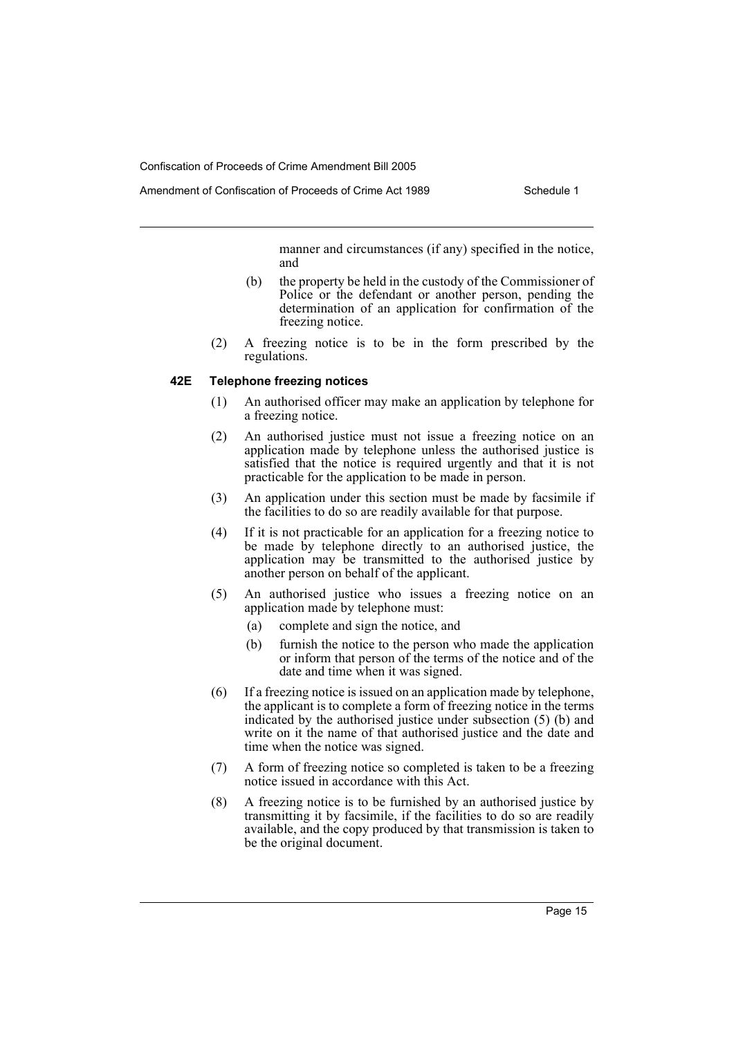manner and circumstances (if any) specified in the notice, and

- (b) the property be held in the custody of the Commissioner of Police or the defendant or another person, pending the determination of an application for confirmation of the freezing notice.
- (2) A freezing notice is to be in the form prescribed by the regulations.

#### **42E Telephone freezing notices**

- (1) An authorised officer may make an application by telephone for a freezing notice.
- (2) An authorised justice must not issue a freezing notice on an application made by telephone unless the authorised justice is satisfied that the notice is required urgently and that it is not practicable for the application to be made in person.
- (3) An application under this section must be made by facsimile if the facilities to do so are readily available for that purpose.
- (4) If it is not practicable for an application for a freezing notice to be made by telephone directly to an authorised justice, the application may be transmitted to the authorised justice by another person on behalf of the applicant.
- (5) An authorised justice who issues a freezing notice on an application made by telephone must:
	- (a) complete and sign the notice, and
	- (b) furnish the notice to the person who made the application or inform that person of the terms of the notice and of the date and time when it was signed.
- (6) If a freezing notice is issued on an application made by telephone, the applicant is to complete a form of freezing notice in the terms indicated by the authorised justice under subsection (5) (b) and write on it the name of that authorised justice and the date and time when the notice was signed.
- (7) A form of freezing notice so completed is taken to be a freezing notice issued in accordance with this Act.
- (8) A freezing notice is to be furnished by an authorised justice by transmitting it by facsimile, if the facilities to do so are readily available, and the copy produced by that transmission is taken to be the original document.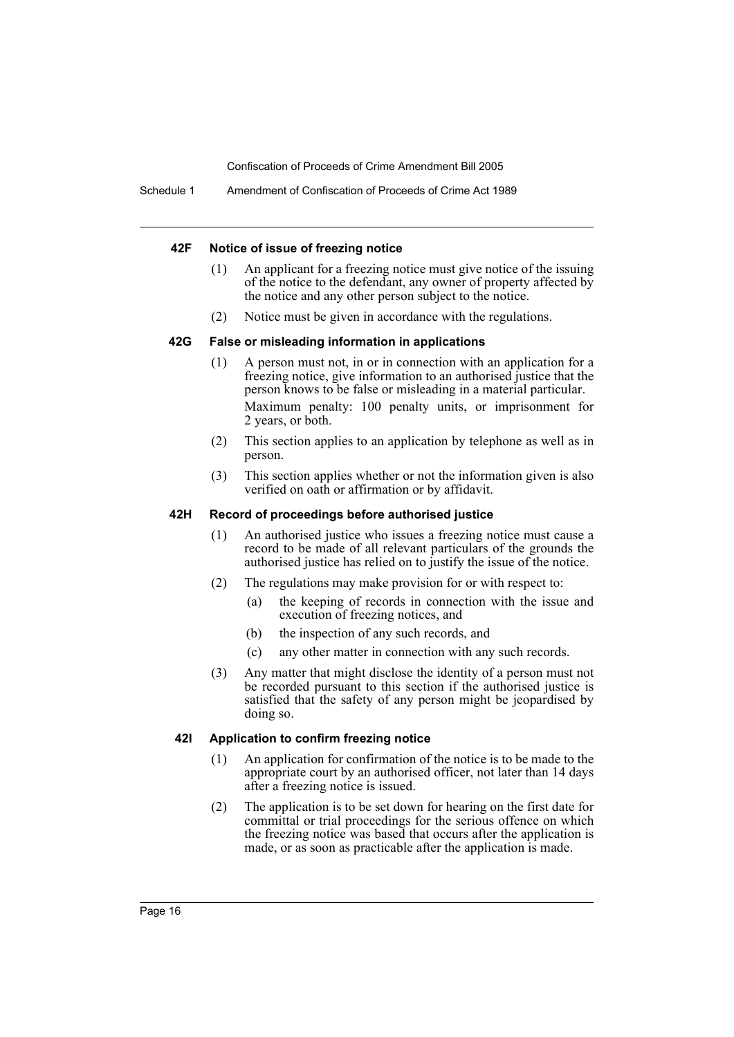#### **42F Notice of issue of freezing notice**

- (1) An applicant for a freezing notice must give notice of the issuing of the notice to the defendant, any owner of property affected by the notice and any other person subject to the notice.
- (2) Notice must be given in accordance with the regulations.

#### **42G False or misleading information in applications**

- (1) A person must not, in or in connection with an application for a freezing notice, give information to an authorised justice that the person knows to be false or misleading in a material particular. Maximum penalty: 100 penalty units, or imprisonment for 2 years, or both.
- (2) This section applies to an application by telephone as well as in person.
- (3) This section applies whether or not the information given is also verified on oath or affirmation or by affidavit.

#### **42H Record of proceedings before authorised justice**

- (1) An authorised justice who issues a freezing notice must cause a record to be made of all relevant particulars of the grounds the authorised justice has relied on to justify the issue of the notice.
- (2) The regulations may make provision for or with respect to:
	- (a) the keeping of records in connection with the issue and execution of freezing notices, and
	- (b) the inspection of any such records, and
	- (c) any other matter in connection with any such records.
- (3) Any matter that might disclose the identity of a person must not be recorded pursuant to this section if the authorised justice is satisfied that the safety of any person might be jeopardised by doing so.

#### **42I Application to confirm freezing notice**

- (1) An application for confirmation of the notice is to be made to the appropriate court by an authorised officer, not later than 14 days after a freezing notice is issued.
- (2) The application is to be set down for hearing on the first date for committal or trial proceedings for the serious offence on which the freezing notice was based that occurs after the application is made, or as soon as practicable after the application is made.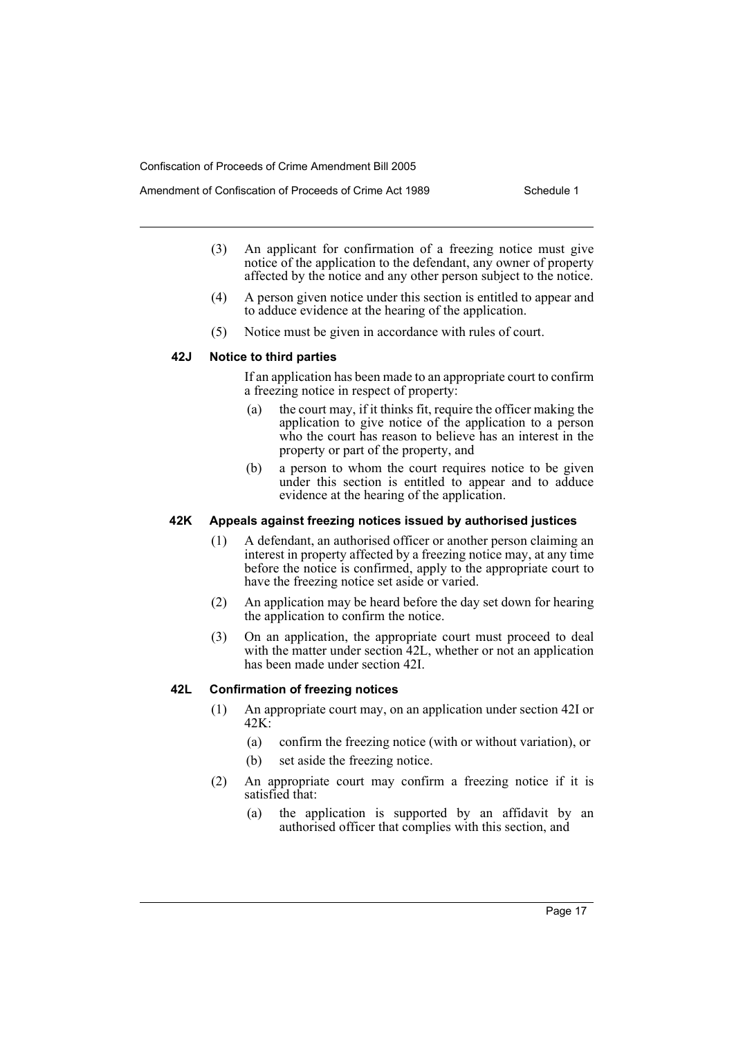- Amendment of Confiscation of Proceeds of Crime Act 1989 Schedule 1
	- (3) An applicant for confirmation of a freezing notice must give notice of the application to the defendant, any owner of property affected by the notice and any other person subject to the notice.
	- (4) A person given notice under this section is entitled to appear and to adduce evidence at the hearing of the application.
	- (5) Notice must be given in accordance with rules of court.

### **42J Notice to third parties**

If an application has been made to an appropriate court to confirm a freezing notice in respect of property:

- (a) the court may, if it thinks fit, require the officer making the application to give notice of the application to a person who the court has reason to believe has an interest in the property or part of the property, and
- (b) a person to whom the court requires notice to be given under this section is entitled to appear and to adduce evidence at the hearing of the application.

#### **42K Appeals against freezing notices issued by authorised justices**

- (1) A defendant, an authorised officer or another person claiming an interest in property affected by a freezing notice may, at any time before the notice is confirmed, apply to the appropriate court to have the freezing notice set aside or varied.
- (2) An application may be heard before the day set down for hearing the application to confirm the notice.
- (3) On an application, the appropriate court must proceed to deal with the matter under section 42L, whether or not an application has been made under section 42I.

### **42L Confirmation of freezing notices**

- (1) An appropriate court may, on an application under section 42I or  $42K<sup>2</sup>$ 
	- (a) confirm the freezing notice (with or without variation), or
	- (b) set aside the freezing notice.
- (2) An appropriate court may confirm a freezing notice if it is satisfied that:
	- (a) the application is supported by an affidavit by an authorised officer that complies with this section, and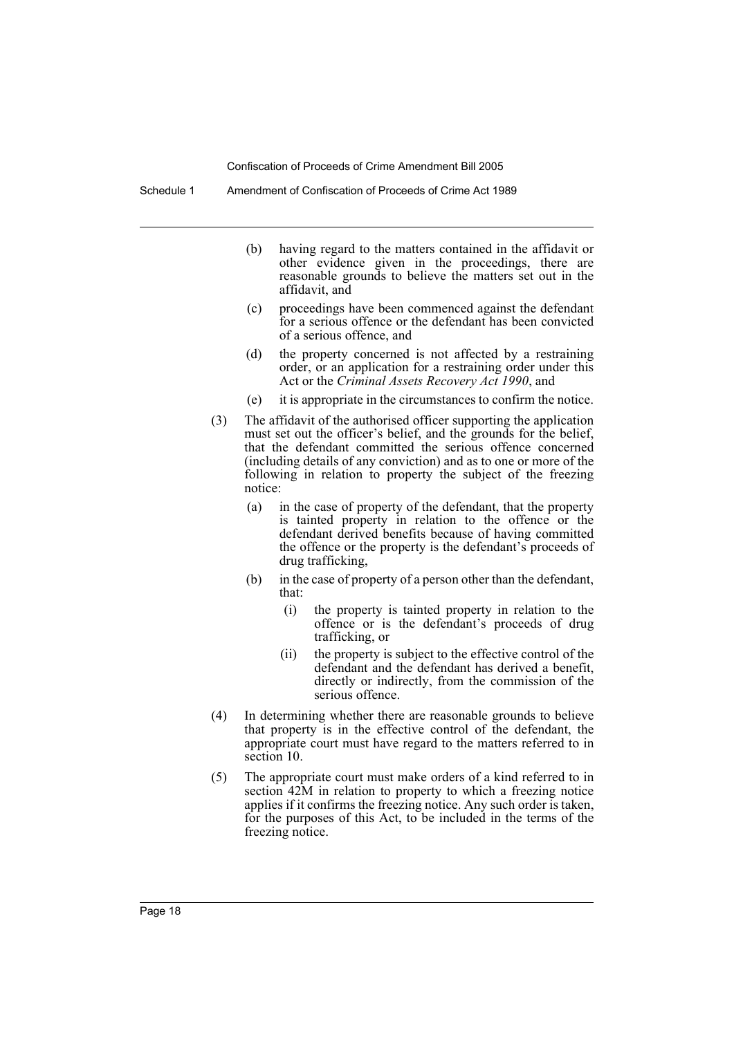Schedule 1 Amendment of Confiscation of Proceeds of Crime Act 1989

- (b) having regard to the matters contained in the affidavit or other evidence given in the proceedings, there are reasonable grounds to believe the matters set out in the affidavit, and
- (c) proceedings have been commenced against the defendant for a serious offence or the defendant has been convicted of a serious offence, and
- (d) the property concerned is not affected by a restraining order, or an application for a restraining order under this Act or the *Criminal Assets Recovery Act 1990*, and
- (e) it is appropriate in the circumstances to confirm the notice.
- (3) The affidavit of the authorised officer supporting the application must set out the officer's belief, and the grounds for the belief, that the defendant committed the serious offence concerned (including details of any conviction) and as to one or more of the following in relation to property the subject of the freezing notice:
	- (a) in the case of property of the defendant, that the property is tainted property in relation to the offence or the defendant derived benefits because of having committed the offence or the property is the defendant's proceeds of drug trafficking,
	- (b) in the case of property of a person other than the defendant, that:
		- (i) the property is tainted property in relation to the offence or is the defendant's proceeds of drug trafficking, or
		- (ii) the property is subject to the effective control of the defendant and the defendant has derived a benefit, directly or indirectly, from the commission of the serious offence.
- (4) In determining whether there are reasonable grounds to believe that property is in the effective control of the defendant, the appropriate court must have regard to the matters referred to in section 10.
- (5) The appropriate court must make orders of a kind referred to in section 42M in relation to property to which a freezing notice applies if it confirms the freezing notice. Any such order is taken, for the purposes of this Act, to be included in the terms of the freezing notice.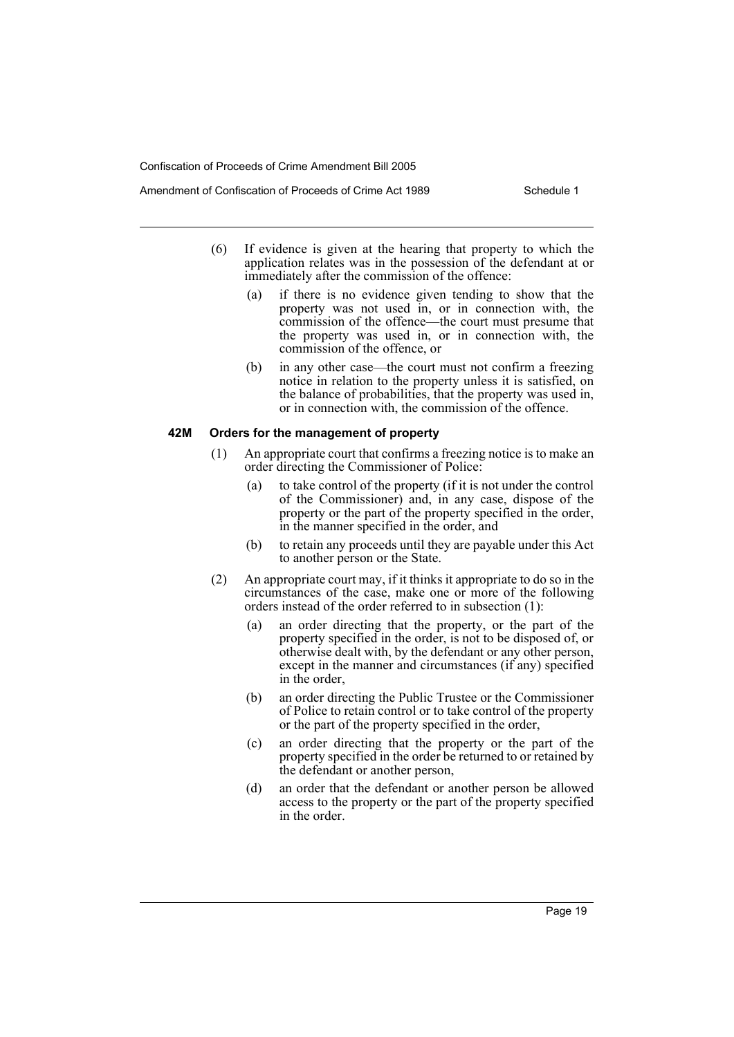- Amendment of Confiscation of Proceeds of Crime Act 1989 Schedule 1
	- (6) If evidence is given at the hearing that property to which the application relates was in the possession of the defendant at or immediately after the commission of the offence:
		- (a) if there is no evidence given tending to show that the property was not used in, or in connection with, the commission of the offence—the court must presume that the property was used in, or in connection with, the commission of the offence, or
		- (b) in any other case—the court must not confirm a freezing notice in relation to the property unless it is satisfied, on the balance of probabilities, that the property was used in, or in connection with, the commission of the offence.

#### **42M Orders for the management of property**

- (1) An appropriate court that confirms a freezing notice is to make an order directing the Commissioner of Police:
	- (a) to take control of the property (if it is not under the control of the Commissioner) and, in any case, dispose of the property or the part of the property specified in the order, in the manner specified in the order, and
	- (b) to retain any proceeds until they are payable under this Act to another person or the State.
- (2) An appropriate court may, if it thinks it appropriate to do so in the circumstances of the case, make one or more of the following orders instead of the order referred to in subsection (1):
	- (a) an order directing that the property, or the part of the property specified in the order, is not to be disposed of, or otherwise dealt with, by the defendant or any other person, except in the manner and circumstances (if any) specified in the order,
	- (b) an order directing the Public Trustee or the Commissioner of Police to retain control or to take control of the property or the part of the property specified in the order,
	- (c) an order directing that the property or the part of the property specified in the order be returned to or retained by the defendant or another person,
	- (d) an order that the defendant or another person be allowed access to the property or the part of the property specified in the order.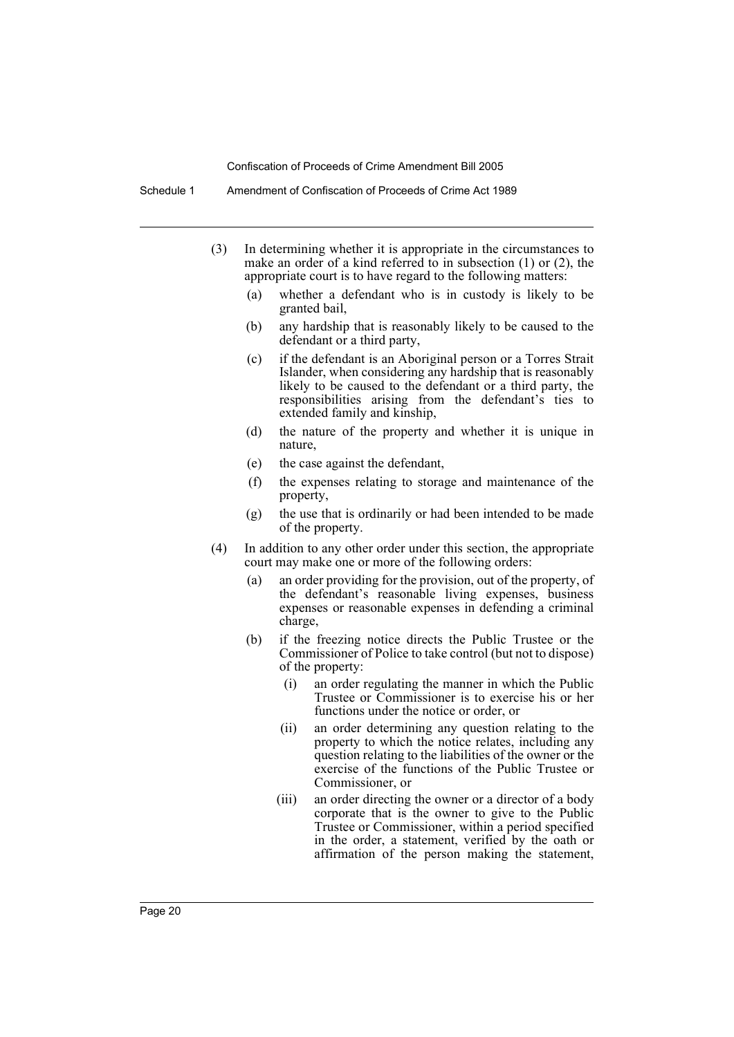Schedule 1 Amendment of Confiscation of Proceeds of Crime Act 1989

- (3) In determining whether it is appropriate in the circumstances to make an order of a kind referred to in subsection (1) or (2), the appropriate court is to have regard to the following matters:
	- (a) whether a defendant who is in custody is likely to be granted bail,
	- (b) any hardship that is reasonably likely to be caused to the defendant or a third party,
	- (c) if the defendant is an Aboriginal person or a Torres Strait Islander, when considering any hardship that is reasonably likely to be caused to the defendant or a third party, the responsibilities arising from the defendant's ties to extended family and kinship,
	- (d) the nature of the property and whether it is unique in nature,
	- (e) the case against the defendant,
	- (f) the expenses relating to storage and maintenance of the property,
	- (g) the use that is ordinarily or had been intended to be made of the property.
- (4) In addition to any other order under this section, the appropriate court may make one or more of the following orders:
	- (a) an order providing for the provision, out of the property, of the defendant's reasonable living expenses, business expenses or reasonable expenses in defending a criminal charge,
	- (b) if the freezing notice directs the Public Trustee or the Commissioner of Police to take control (but not to dispose) of the property:
		- (i) an order regulating the manner in which the Public Trustee or Commissioner is to exercise his or her functions under the notice or order, or
		- (ii) an order determining any question relating to the property to which the notice relates, including any question relating to the liabilities of the owner or the exercise of the functions of the Public Trustee or Commissioner, or
		- (iii) an order directing the owner or a director of a body corporate that is the owner to give to the Public Trustee or Commissioner, within a period specified in the order, a statement, verified by the oath or affirmation of the person making the statement,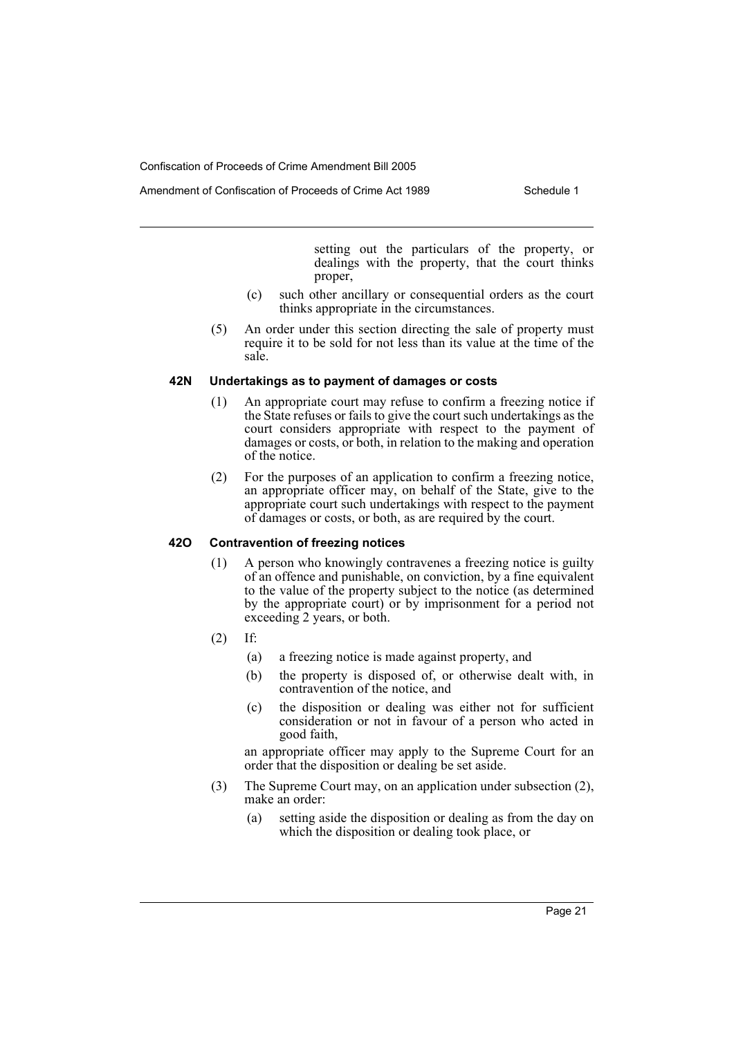setting out the particulars of the property, or dealings with the property, that the court thinks proper,

- (c) such other ancillary or consequential orders as the court thinks appropriate in the circumstances.
- (5) An order under this section directing the sale of property must require it to be sold for not less than its value at the time of the sale.

#### **42N Undertakings as to payment of damages or costs**

- (1) An appropriate court may refuse to confirm a freezing notice if the State refuses or fails to give the court such undertakings as the court considers appropriate with respect to the payment of damages or costs, or both, in relation to the making and operation of the notice.
- (2) For the purposes of an application to confirm a freezing notice, an appropriate officer may, on behalf of the State, give to the appropriate court such undertakings with respect to the payment of damages or costs, or both, as are required by the court.

#### **42O Contravention of freezing notices**

- (1) A person who knowingly contravenes a freezing notice is guilty of an offence and punishable, on conviction, by a fine equivalent to the value of the property subject to the notice (as determined by the appropriate court) or by imprisonment for a period not exceeding 2 years, or both.
- (2) If:
	- (a) a freezing notice is made against property, and
	- (b) the property is disposed of, or otherwise dealt with, in contravention of the notice, and
	- (c) the disposition or dealing was either not for sufficient consideration or not in favour of a person who acted in good faith,

an appropriate officer may apply to the Supreme Court for an order that the disposition or dealing be set aside.

- (3) The Supreme Court may, on an application under subsection (2), make an order:
	- (a) setting aside the disposition or dealing as from the day on which the disposition or dealing took place, or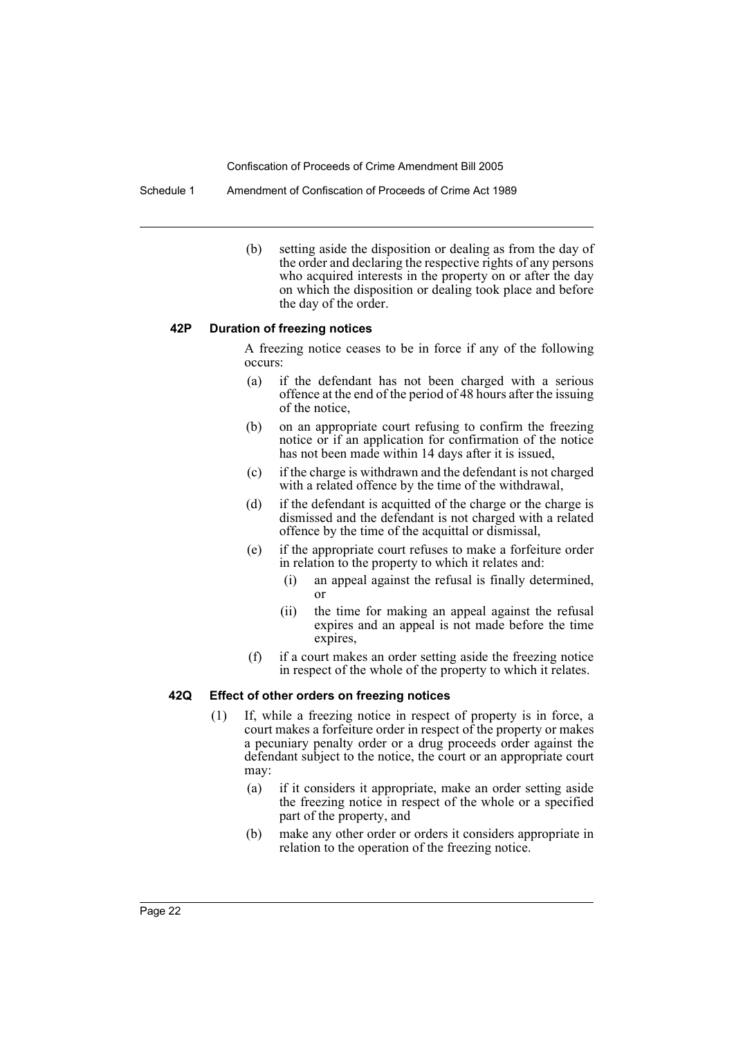Schedule 1 Amendment of Confiscation of Proceeds of Crime Act 1989

(b) setting aside the disposition or dealing as from the day of the order and declaring the respective rights of any persons who acquired interests in the property on or after the day on which the disposition or dealing took place and before the day of the order.

#### **42P Duration of freezing notices**

A freezing notice ceases to be in force if any of the following occurs:

- (a) if the defendant has not been charged with a serious offence at the end of the period of 48 hours after the issuing of the notice,
- (b) on an appropriate court refusing to confirm the freezing notice or if an application for confirmation of the notice has not been made within 14 days after it is issued,
- (c) if the charge is withdrawn and the defendant is not charged with a related offence by the time of the withdrawal,
- (d) if the defendant is acquitted of the charge or the charge is dismissed and the defendant is not charged with a related offence by the time of the acquittal or dismissal,
- (e) if the appropriate court refuses to make a forfeiture order in relation to the property to which it relates and:
	- (i) an appeal against the refusal is finally determined, or
	- (ii) the time for making an appeal against the refusal expires and an appeal is not made before the time expires,
- (f) if a court makes an order setting aside the freezing notice in respect of the whole of the property to which it relates.

#### **42Q Effect of other orders on freezing notices**

- (1) If, while a freezing notice in respect of property is in force, a court makes a forfeiture order in respect of the property or makes a pecuniary penalty order or a drug proceeds order against the defendant subject to the notice, the court or an appropriate court may:
	- (a) if it considers it appropriate, make an order setting aside the freezing notice in respect of the whole or a specified part of the property, and
	- (b) make any other order or orders it considers appropriate in relation to the operation of the freezing notice.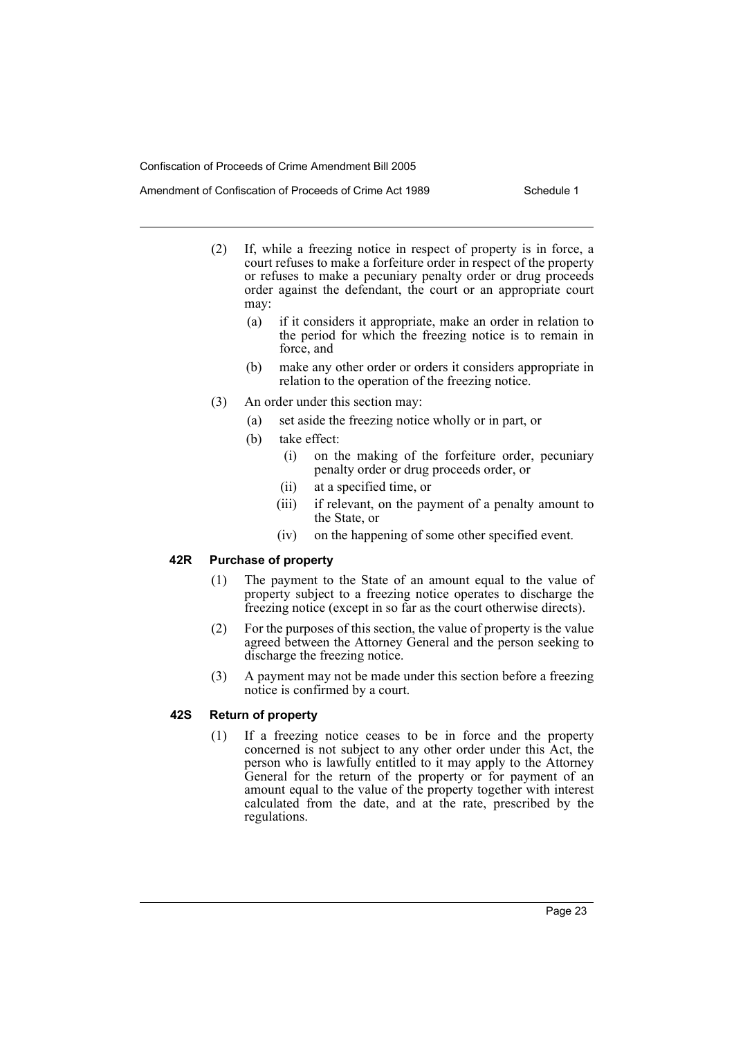- (2) If, while a freezing notice in respect of property is in force, a court refuses to make a forfeiture order in respect of the property or refuses to make a pecuniary penalty order or drug proceeds order against the defendant, the court or an appropriate court may:
	- (a) if it considers it appropriate, make an order in relation to the period for which the freezing notice is to remain in force, and
	- (b) make any other order or orders it considers appropriate in relation to the operation of the freezing notice.
- (3) An order under this section may:
	- (a) set aside the freezing notice wholly or in part, or
	- (b) take effect:
		- (i) on the making of the forfeiture order, pecuniary penalty order or drug proceeds order, or
		- (ii) at a specified time, or
		- (iii) if relevant, on the payment of a penalty amount to the State, or
		- (iv) on the happening of some other specified event.

#### **42R Purchase of property**

- (1) The payment to the State of an amount equal to the value of property subject to a freezing notice operates to discharge the freezing notice (except in so far as the court otherwise directs).
- (2) For the purposes of this section, the value of property is the value agreed between the Attorney General and the person seeking to discharge the freezing notice.
- (3) A payment may not be made under this section before a freezing notice is confirmed by a court.

# **42S Return of property**

(1) If a freezing notice ceases to be in force and the property concerned is not subject to any other order under this Act, the person who is lawfully entitled to it may apply to the Attorney General for the return of the property or for payment of an amount equal to the value of the property together with interest calculated from the date, and at the rate, prescribed by the regulations.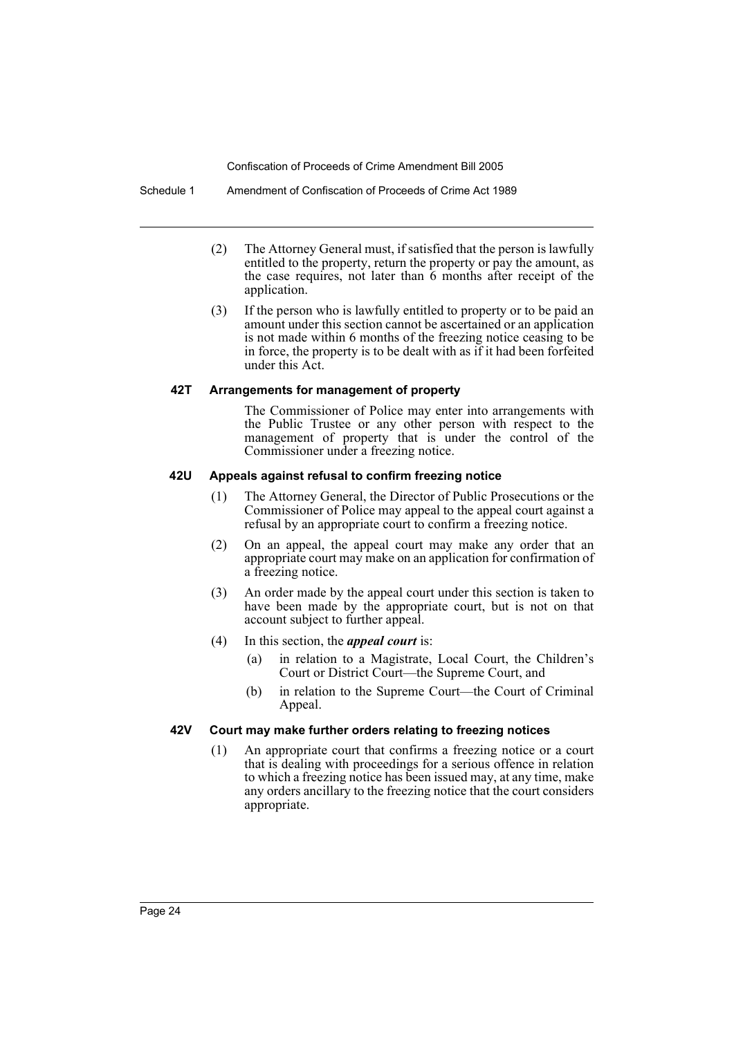Schedule 1 Amendment of Confiscation of Proceeds of Crime Act 1989

- (2) The Attorney General must, if satisfied that the person is lawfully entitled to the property, return the property or pay the amount, as the case requires, not later than 6 months after receipt of the application.
- (3) If the person who is lawfully entitled to property or to be paid an amount under this section cannot be ascertained or an application is not made within 6 months of the freezing notice ceasing to be in force, the property is to be dealt with as if it had been forfeited under this Act.

#### **42T Arrangements for management of property**

The Commissioner of Police may enter into arrangements with the Public Trustee or any other person with respect to the management of property that is under the control of the Commissioner under a freezing notice.

#### **42U Appeals against refusal to confirm freezing notice**

- (1) The Attorney General, the Director of Public Prosecutions or the Commissioner of Police may appeal to the appeal court against a refusal by an appropriate court to confirm a freezing notice.
- (2) On an appeal, the appeal court may make any order that an appropriate court may make on an application for confirmation of a freezing notice.
- (3) An order made by the appeal court under this section is taken to have been made by the appropriate court, but is not on that account subject to further appeal.
- (4) In this section, the *appeal court* is:
	- (a) in relation to a Magistrate, Local Court, the Children's Court or District Court—the Supreme Court, and
	- (b) in relation to the Supreme Court—the Court of Criminal Appeal.

# **42V Court may make further orders relating to freezing notices**

(1) An appropriate court that confirms a freezing notice or a court that is dealing with proceedings for a serious offence in relation to which a freezing notice has been issued may, at any time, make any orders ancillary to the freezing notice that the court considers appropriate.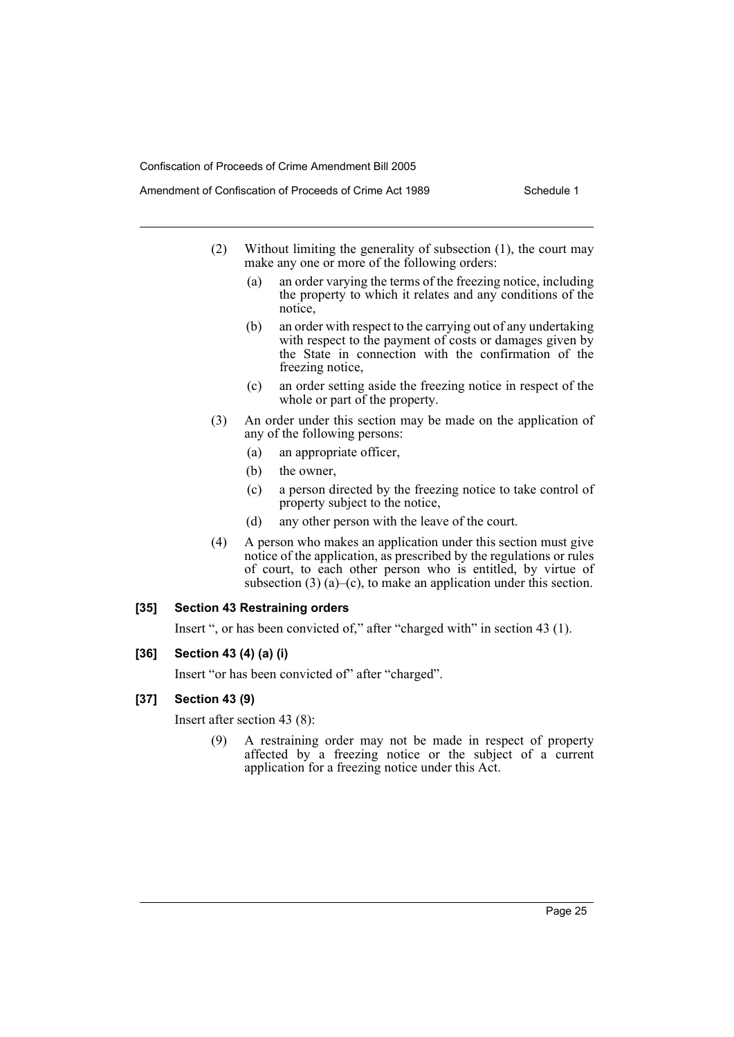- Amendment of Confiscation of Proceeds of Crime Act 1989 Schedule 1
	- (2) Without limiting the generality of subsection (1), the court may make any one or more of the following orders:
		- (a) an order varying the terms of the freezing notice, including the property to which it relates and any conditions of the notice,
		- (b) an order with respect to the carrying out of any undertaking with respect to the payment of costs or damages given by the State in connection with the confirmation of the freezing notice,
		- (c) an order setting aside the freezing notice in respect of the whole or part of the property.
	- (3) An order under this section may be made on the application of any of the following persons:
		- (a) an appropriate officer,
		- (b) the owner,
		- (c) a person directed by the freezing notice to take control of property subject to the notice,
		- (d) any other person with the leave of the court.
	- (4) A person who makes an application under this section must give notice of the application, as prescribed by the regulations or rules of court, to each other person who is entitled, by virtue of subsection  $(3)$   $(a)$ – $(c)$ , to make an application under this section.

#### **[35] Section 43 Restraining orders**

Insert ", or has been convicted of," after "charged with" in section 43 (1).

#### **[36] Section 43 (4) (a) (i)**

Insert "or has been convicted of" after "charged".

#### **[37] Section 43 (9)**

Insert after section 43 (8):

(9) A restraining order may not be made in respect of property affected by a freezing notice or the subject of a current application for a freezing notice under this Act.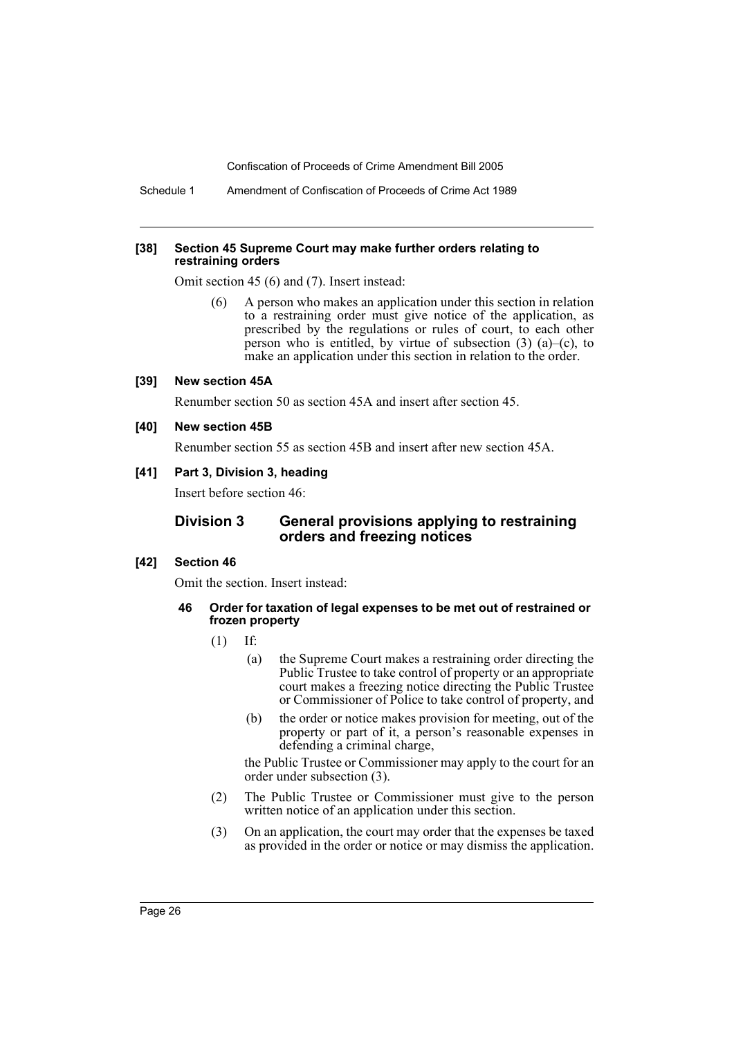Schedule 1 Amendment of Confiscation of Proceeds of Crime Act 1989

#### **[38] Section 45 Supreme Court may make further orders relating to restraining orders**

Omit section 45 (6) and (7). Insert instead:

(6) A person who makes an application under this section in relation to a restraining order must give notice of the application, as prescribed by the regulations or rules of court, to each other person who is entitled, by virtue of subsection  $(3)$   $(a)$ – $(c)$ , to make an application under this section in relation to the order.

#### **[39] New section 45A**

Renumber section 50 as section 45A and insert after section 45.

**[40] New section 45B**

Renumber section 55 as section 45B and insert after new section 45A.

#### **[41] Part 3, Division 3, heading**

Insert before section 46:

#### **Division 3 General provisions applying to restraining orders and freezing notices**

#### **[42] Section 46**

Omit the section. Insert instead:

- **46 Order for taxation of legal expenses to be met out of restrained or frozen property**
	- (1) If:
		- (a) the Supreme Court makes a restraining order directing the Public Trustee to take control of property or an appropriate court makes a freezing notice directing the Public Trustee or Commissioner of Police to take control of property, and
		- (b) the order or notice makes provision for meeting, out of the property or part of it, a person's reasonable expenses in defending a criminal charge,

the Public Trustee or Commissioner may apply to the court for an order under subsection (3).

- (2) The Public Trustee or Commissioner must give to the person written notice of an application under this section.
- (3) On an application, the court may order that the expenses be taxed as provided in the order or notice or may dismiss the application.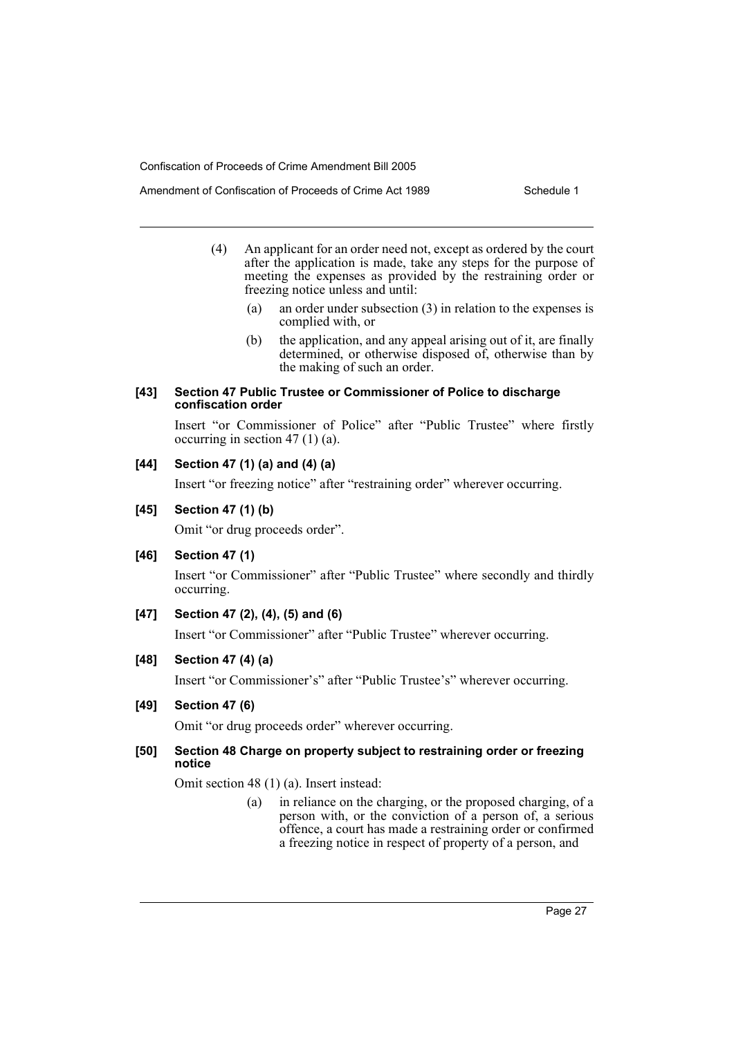- Amendment of Confiscation of Proceeds of Crime Act 1989 Schedule 1
	- (4) An applicant for an order need not, except as ordered by the court after the application is made, take any steps for the purpose of meeting the expenses as provided by the restraining order or freezing notice unless and until:
		- (a) an order under subsection (3) in relation to the expenses is complied with, or
		- (b) the application, and any appeal arising out of it, are finally determined, or otherwise disposed of, otherwise than by the making of such an order.

#### **[43] Section 47 Public Trustee or Commissioner of Police to discharge confiscation order**

Insert "or Commissioner of Police" after "Public Trustee" where firstly occurring in section 47 (1) (a).

# **[44] Section 47 (1) (a) and (4) (a)**

Insert "or freezing notice" after "restraining order" wherever occurring.

# **[45] Section 47 (1) (b)**

Omit "or drug proceeds order".

### **[46] Section 47 (1)**

Insert "or Commissioner" after "Public Trustee" where secondly and thirdly occurring.

# **[47] Section 47 (2), (4), (5) and (6)**

Insert "or Commissioner" after "Public Trustee" wherever occurring.

# **[48] Section 47 (4) (a)**

Insert "or Commissioner's" after "Public Trustee's" wherever occurring.

### **[49] Section 47 (6)**

Omit "or drug proceeds order" wherever occurring.

### **[50] Section 48 Charge on property subject to restraining order or freezing notice**

Omit section 48 (1) (a). Insert instead:

(a) in reliance on the charging, or the proposed charging, of a person with, or the conviction of a person of, a serious offence, a court has made a restraining order or confirmed a freezing notice in respect of property of a person, and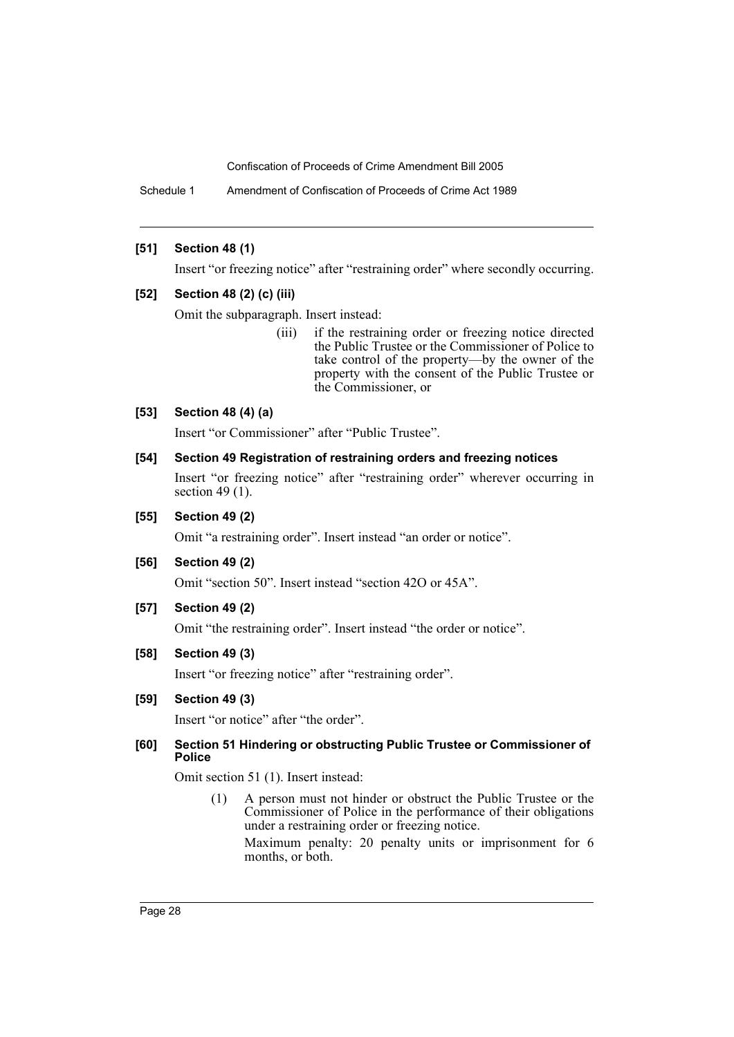Schedule 1 Amendment of Confiscation of Proceeds of Crime Act 1989

#### **[51] Section 48 (1)**

Insert "or freezing notice" after "restraining order" where secondly occurring.

#### **[52] Section 48 (2) (c) (iii)**

Omit the subparagraph. Insert instead:

(iii) if the restraining order or freezing notice directed the Public Trustee or the Commissioner of Police to take control of the property—by the owner of the property with the consent of the Public Trustee or the Commissioner, or

#### **[53] Section 48 (4) (a)**

Insert "or Commissioner" after "Public Trustee".

#### **[54] Section 49 Registration of restraining orders and freezing notices**

Insert "or freezing notice" after "restraining order" wherever occurring in section 49 (1).

#### **[55] Section 49 (2)**

Omit "a restraining order". Insert instead "an order or notice".

#### **[56] Section 49 (2)**

Omit "section 50". Insert instead "section 42O or 45A".

#### **[57] Section 49 (2)**

Omit "the restraining order". Insert instead "the order or notice".

### **[58] Section 49 (3)**

Insert "or freezing notice" after "restraining order".

#### **[59] Section 49 (3)**

Insert "or notice" after "the order".

#### **[60] Section 51 Hindering or obstructing Public Trustee or Commissioner of Police**

Omit section 51 (1). Insert instead:

(1) A person must not hinder or obstruct the Public Trustee or the Commissioner of Police in the performance of their obligations under a restraining order or freezing notice.

Maximum penalty: 20 penalty units or imprisonment for 6 months, or both.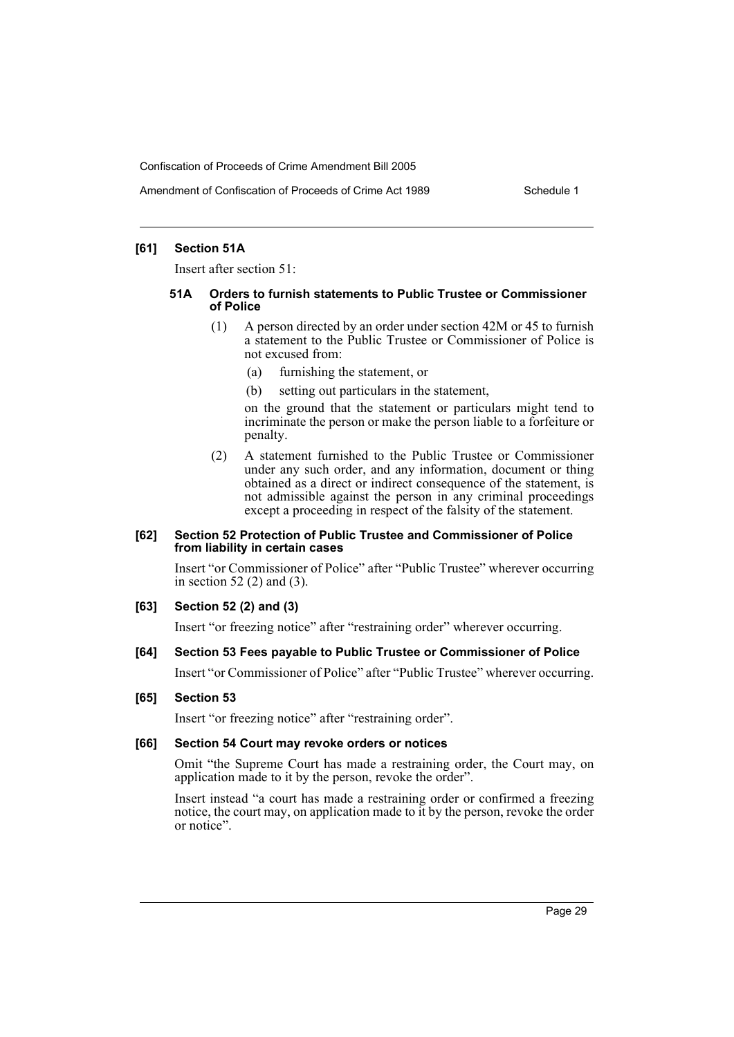#### **[61] Section 51A**

Insert after section 51:

#### **51A Orders to furnish statements to Public Trustee or Commissioner of Police**

- (1) A person directed by an order under section 42M or 45 to furnish a statement to the Public Trustee or Commissioner of Police is not excused from:
	- (a) furnishing the statement, or
	- (b) setting out particulars in the statement,

on the ground that the statement or particulars might tend to incriminate the person or make the person liable to a forfeiture or penalty.

(2) A statement furnished to the Public Trustee or Commissioner under any such order, and any information, document or thing obtained as a direct or indirect consequence of the statement, is not admissible against the person in any criminal proceedings except a proceeding in respect of the falsity of the statement.

#### **[62] Section 52 Protection of Public Trustee and Commissioner of Police from liability in certain cases**

Insert "or Commissioner of Police" after "Public Trustee" wherever occurring in section 52 (2) and (3).

#### **[63] Section 52 (2) and (3)**

Insert "or freezing notice" after "restraining order" wherever occurring.

#### **[64] Section 53 Fees payable to Public Trustee or Commissioner of Police**

Insert "or Commissioner of Police" after "Public Trustee" wherever occurring.

#### **[65] Section 53**

Insert "or freezing notice" after "restraining order".

#### **[66] Section 54 Court may revoke orders or notices**

Omit "the Supreme Court has made a restraining order, the Court may, on application made to it by the person, revoke the order".

Insert instead "a court has made a restraining order or confirmed a freezing notice, the court may, on application made to it by the person, revoke the order or notice".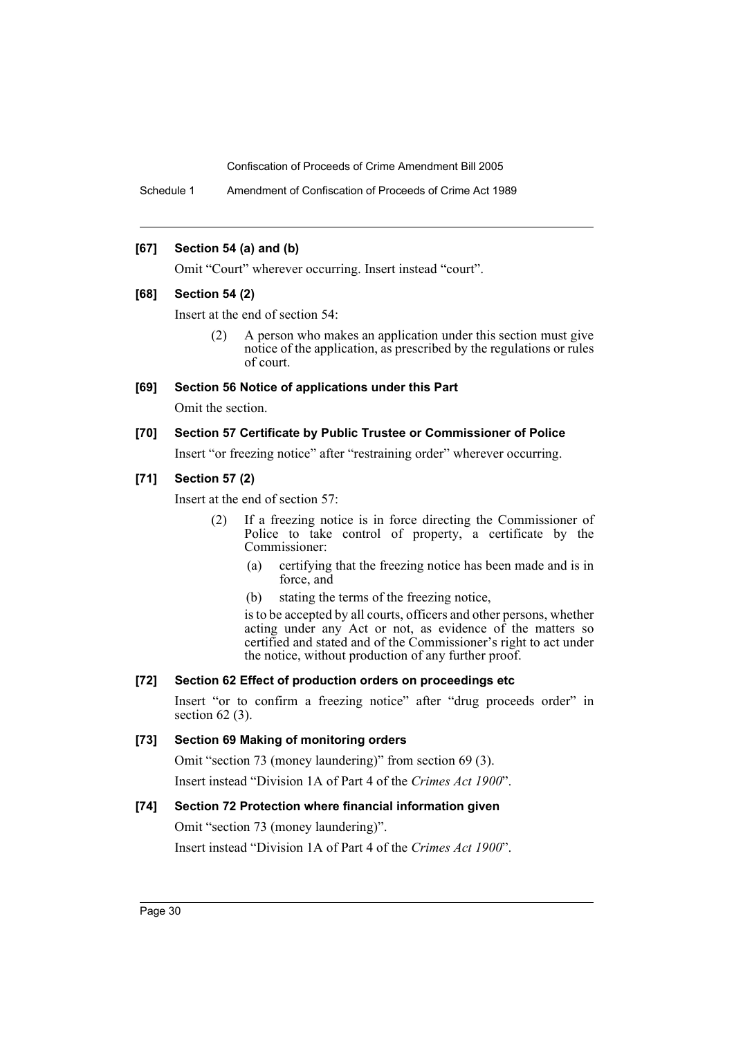Schedule 1 Amendment of Confiscation of Proceeds of Crime Act 1989

#### **[67] Section 54 (a) and (b)**

Omit "Court" wherever occurring. Insert instead "court".

#### **[68] Section 54 (2)**

Insert at the end of section 54:

(2) A person who makes an application under this section must give notice of the application, as prescribed by the regulations or rules of court.

#### **[69] Section 56 Notice of applications under this Part**

Omit the section.

#### **[70] Section 57 Certificate by Public Trustee or Commissioner of Police**

Insert "or freezing notice" after "restraining order" wherever occurring.

# **[71] Section 57 (2)**

Insert at the end of section 57:

- (2) If a freezing notice is in force directing the Commissioner of Police to take control of property, a certificate by the Commissioner:
	- (a) certifying that the freezing notice has been made and is in force, and
	- (b) stating the terms of the freezing notice,

is to be accepted by all courts, officers and other persons, whether acting under any Act or not, as evidence of the matters so certified and stated and of the Commissioner's right to act under the notice, without production of any further proof.

### **[72] Section 62 Effect of production orders on proceedings etc**

Insert "or to confirm a freezing notice" after "drug proceeds order" in section  $62$  (3).

### **[73] Section 69 Making of monitoring orders**

Omit "section 73 (money laundering)" from section 69 (3).

Insert instead "Division 1A of Part 4 of the *Crimes Act 1900*".

### **[74] Section 72 Protection where financial information given**

Omit "section 73 (money laundering)".

Insert instead "Division 1A of Part 4 of the *Crimes Act 1900*".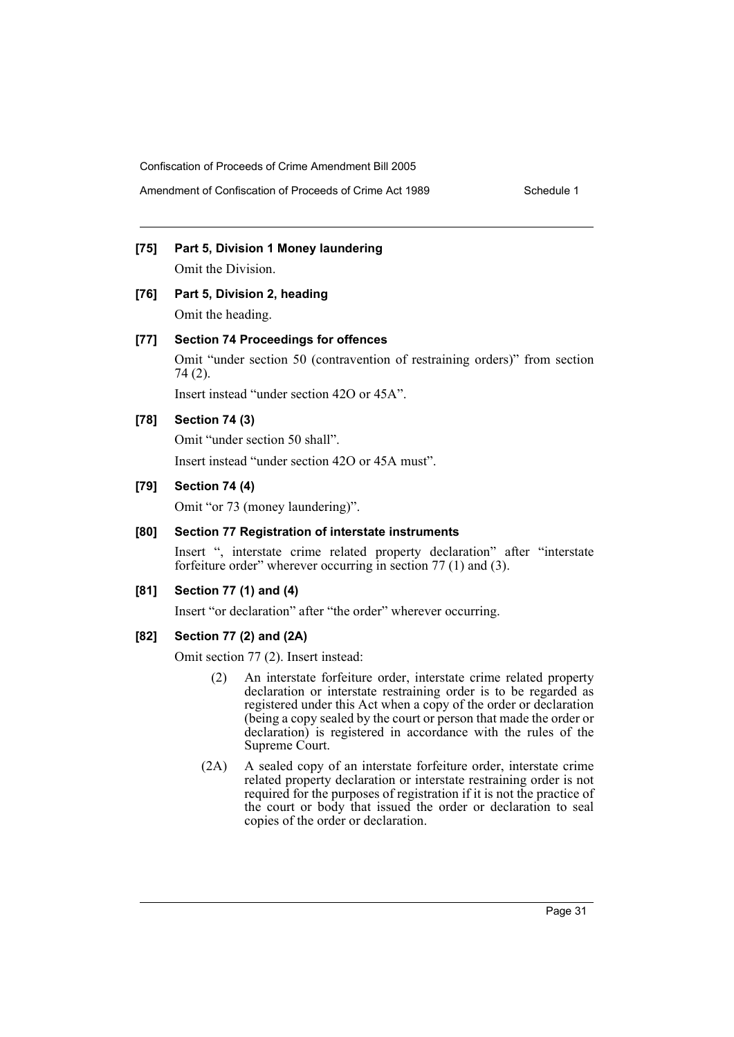# **[75] Part 5, Division 1 Money laundering**

Omit the Division.

# **[76] Part 5, Division 2, heading** Omit the heading.

#### **[77] Section 74 Proceedings for offences**

Omit "under section 50 (contravention of restraining orders)" from section 74 (2).

Insert instead "under section 42O or 45A".

#### **[78] Section 74 (3)**

Omit "under section 50 shall".

Insert instead "under section 42O or 45A must".

#### **[79] Section 74 (4)**

Omit "or 73 (money laundering)".

# **[80] Section 77 Registration of interstate instruments**

Insert ", interstate crime related property declaration" after "interstate forfeiture order" wherever occurring in section 77 (1) and (3).

#### **[81] Section 77 (1) and (4)**

Insert "or declaration" after "the order" wherever occurring.

#### **[82] Section 77 (2) and (2A)**

Omit section 77 (2). Insert instead:

- (2) An interstate forfeiture order, interstate crime related property declaration or interstate restraining order is to be regarded as registered under this Act when a copy of the order or declaration (being a copy sealed by the court or person that made the order or declaration) is registered in accordance with the rules of the Supreme Court.
- (2A) A sealed copy of an interstate forfeiture order, interstate crime related property declaration or interstate restraining order is not required for the purposes of registration if it is not the practice of the court or body that issued the order or declaration to seal copies of the order or declaration.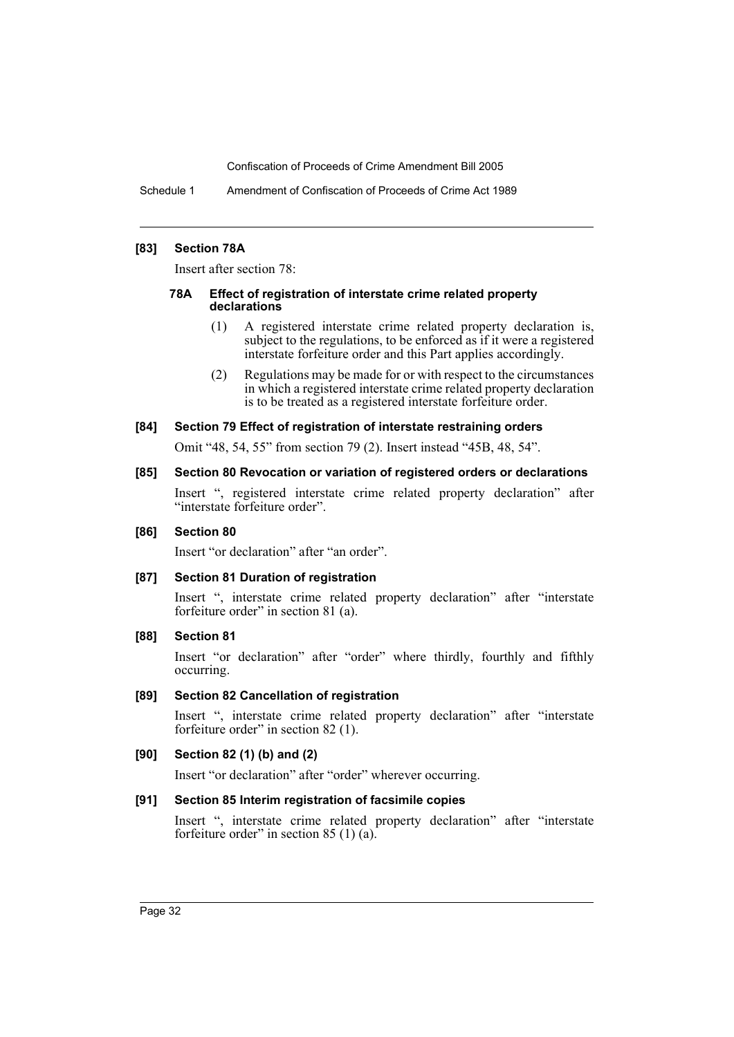Schedule 1 Amendment of Confiscation of Proceeds of Crime Act 1989

#### **[83] Section 78A**

Insert after section 78:

#### **78A Effect of registration of interstate crime related property declarations**

- (1) A registered interstate crime related property declaration is, subject to the regulations, to be enforced as if it were a registered interstate forfeiture order and this Part applies accordingly.
- (2) Regulations may be made for or with respect to the circumstances in which a registered interstate crime related property declaration is to be treated as a registered interstate forfeiture order.

#### **[84] Section 79 Effect of registration of interstate restraining orders**

Omit "48, 54, 55" from section 79 (2). Insert instead "45B, 48, 54".

#### **[85] Section 80 Revocation or variation of registered orders or declarations**

Insert ", registered interstate crime related property declaration" after "interstate forfeiture order".

#### **[86] Section 80**

Insert "or declaration" after "an order".

### **[87] Section 81 Duration of registration**

Insert ", interstate crime related property declaration" after "interstate forfeiture order" in section 81 (a).

#### **[88] Section 81**

Insert "or declaration" after "order" where thirdly, fourthly and fifthly occurring.

### **[89] Section 82 Cancellation of registration**

Insert ", interstate crime related property declaration" after "interstate forfeiture order" in section 82 (1).

### **[90] Section 82 (1) (b) and (2)**

Insert "or declaration" after "order" wherever occurring.

### **[91] Section 85 Interim registration of facsimile copies**

Insert ", interstate crime related property declaration" after "interstate forfeiture order" in section 85  $(1)$   $(a)$ .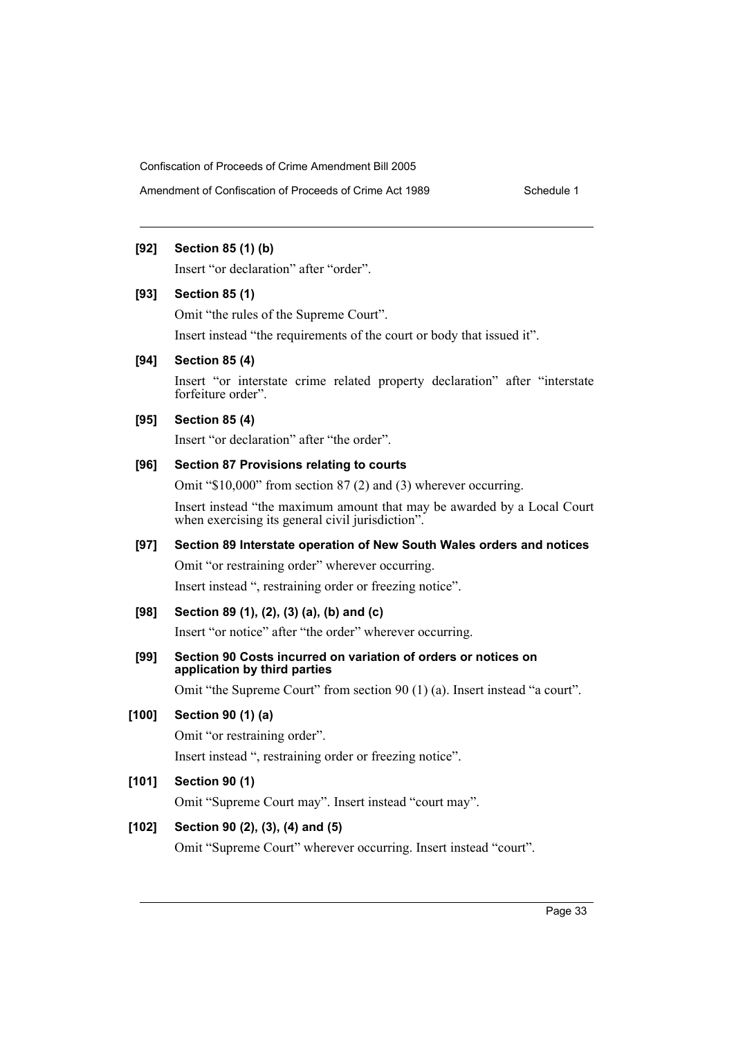#### **[92] Section 85 (1) (b)**

Insert "or declaration" after "order".

#### **[93] Section 85 (1)**

Omit "the rules of the Supreme Court".

Insert instead "the requirements of the court or body that issued it".

#### **[94] Section 85 (4)**

Insert "or interstate crime related property declaration" after "interstate forfeiture order".

#### **[95] Section 85 (4)**

Insert "or declaration" after "the order".

# **[96] Section 87 Provisions relating to courts**

Omit "\$10,000" from section 87 (2) and (3) wherever occurring.

Insert instead "the maximum amount that may be awarded by a Local Court when exercising its general civil jurisdiction".

# **[97] Section 89 Interstate operation of New South Wales orders and notices**

Omit "or restraining order" wherever occurring.

Insert instead ", restraining order or freezing notice".

### **[98] Section 89 (1), (2), (3) (a), (b) and (c)**

Insert "or notice" after "the order" wherever occurring.

### **[99] Section 90 Costs incurred on variation of orders or notices on application by third parties**

Omit "the Supreme Court" from section 90 (1) (a). Insert instead "a court".

### **[100] Section 90 (1) (a)**

Omit "or restraining order".

Insert instead ", restraining order or freezing notice".

### **[101] Section 90 (1)**

Omit "Supreme Court may". Insert instead "court may".

### **[102] Section 90 (2), (3), (4) and (5)**

Omit "Supreme Court" wherever occurring. Insert instead "court".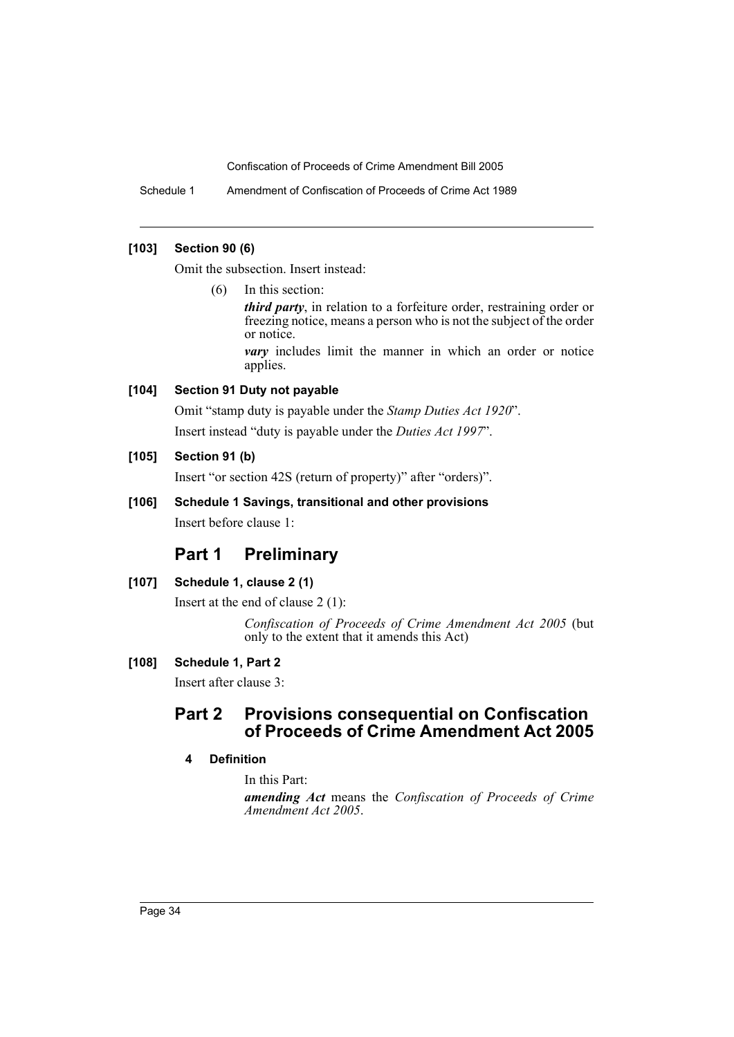Schedule 1 Amendment of Confiscation of Proceeds of Crime Act 1989

### **[103] Section 90 (6)**

Omit the subsection. Insert instead:

(6) In this section:

*third party*, in relation to a forfeiture order, restraining order or freezing notice, means a person who is not the subject of the order or notice.

*vary* includes limit the manner in which an order or notice applies.

# **[104] Section 91 Duty not payable**

Omit "stamp duty is payable under the *Stamp Duties Act 1920*".

Insert instead "duty is payable under the *Duties Act 1997*".

# **[105] Section 91 (b)**

Insert "or section 42S (return of property)" after "orders)".

# **[106] Schedule 1 Savings, transitional and other provisions**

Insert before clause 1:

# **Part 1 Preliminary**

# **[107] Schedule 1, clause 2 (1)**

Insert at the end of clause 2 (1):

*Confiscation of Proceeds of Crime Amendment Act 2005* (but only to the extent that it amends this Act)

# **[108] Schedule 1, Part 2**

Insert after clause 3:

# **Part 2 Provisions consequential on Confiscation of Proceeds of Crime Amendment Act 2005**

# **4 Definition**

In this Part:

*amending Act* means the *Confiscation of Proceeds of Crime Amendment Act 2005*.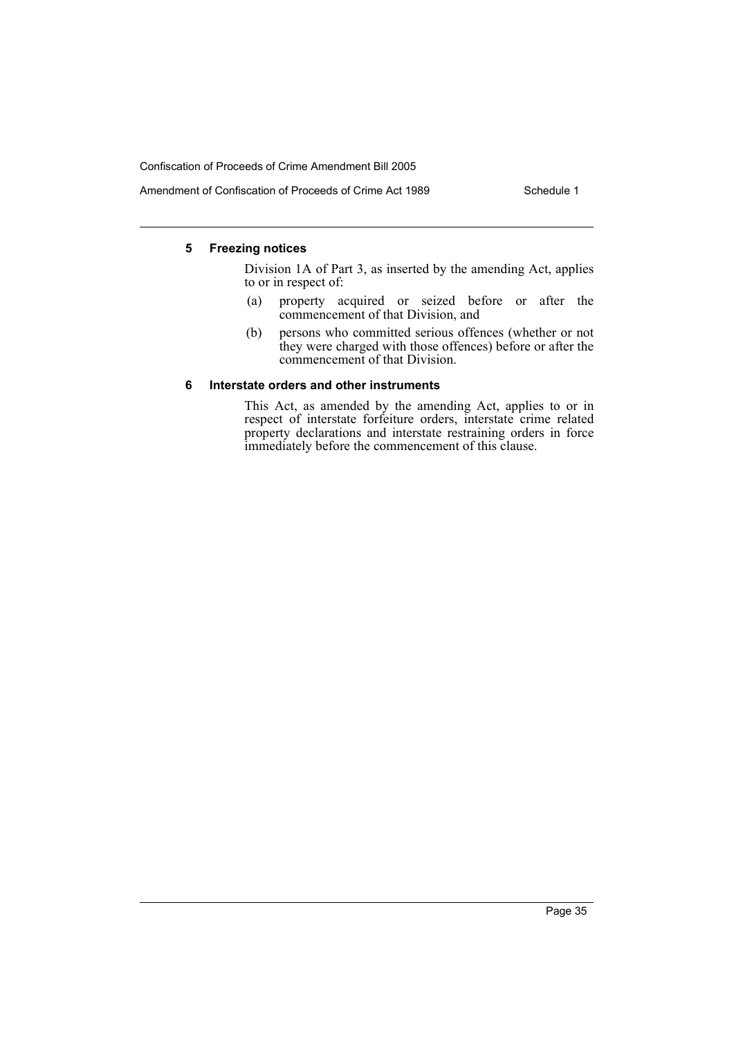### Amendment of Confiscation of Proceeds of Crime Act 1989 Schedule 1

#### **5 Freezing notices**

Division 1A of Part 3, as inserted by the amending Act, applies to or in respect of:

- (a) property acquired or seized before or after the commencement of that Division, and
- (b) persons who committed serious offences (whether or not they were charged with those offences) before or after the commencement of that Division.

#### **6 Interstate orders and other instruments**

This Act, as amended by the amending Act, applies to or in respect of interstate forfeiture orders, interstate crime related property declarations and interstate restraining orders in force immediately before the commencement of this clause.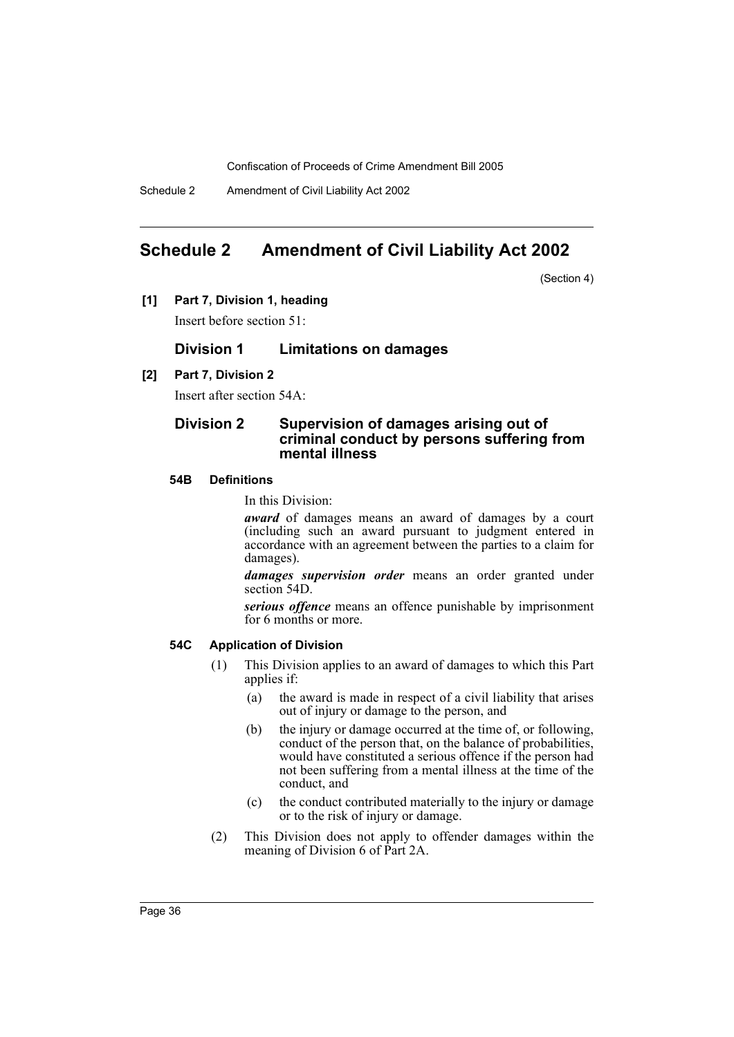Schedule 2 Amendment of Civil Liability Act 2002

# <span id="page-36-0"></span>**Schedule 2 Amendment of Civil Liability Act 2002**

(Section 4)

**[1] Part 7, Division 1, heading**

Insert before section 51:

# **Division 1 Limitations on damages**

# **[2] Part 7, Division 2**

Insert after section 54A:

### **Division 2 Supervision of damages arising out of criminal conduct by persons suffering from mental illness**

### **54B Definitions**

In this Division:

*award* of damages means an award of damages by a court (including such an award pursuant to judgment entered in accordance with an agreement between the parties to a claim for damages).

*damages supervision order* means an order granted under section 54D.

*serious offence* means an offence punishable by imprisonment for 6 months or more.

### **54C Application of Division**

- (1) This Division applies to an award of damages to which this Part applies if:
	- (a) the award is made in respect of a civil liability that arises out of injury or damage to the person, and
	- (b) the injury or damage occurred at the time of, or following, conduct of the person that, on the balance of probabilities, would have constituted a serious offence if the person had not been suffering from a mental illness at the time of the conduct, and
	- (c) the conduct contributed materially to the injury or damage or to the risk of injury or damage.
- (2) This Division does not apply to offender damages within the meaning of Division 6 of Part 2A.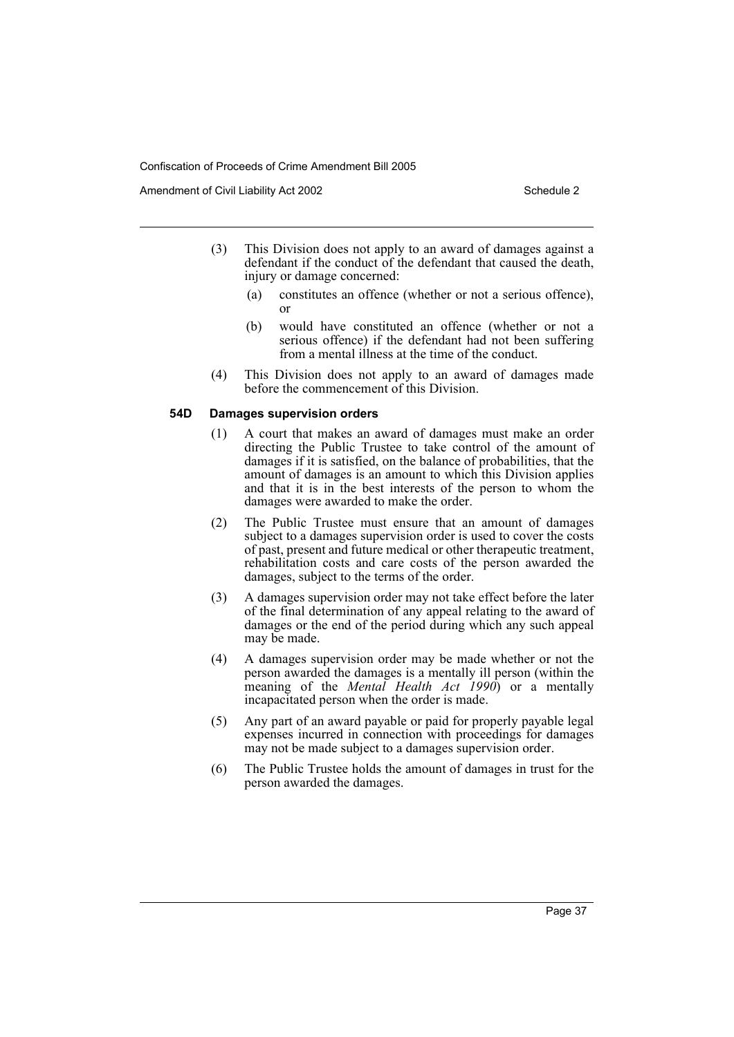Amendment of Civil Liability Act 2002 Schedule 2

- (3) This Division does not apply to an award of damages against a defendant if the conduct of the defendant that caused the death, injury or damage concerned:
	- (a) constitutes an offence (whether or not a serious offence), or
	- (b) would have constituted an offence (whether or not a serious offence) if the defendant had not been suffering from a mental illness at the time of the conduct.
- (4) This Division does not apply to an award of damages made before the commencement of this Division.

#### **54D Damages supervision orders**

- (1) A court that makes an award of damages must make an order directing the Public Trustee to take control of the amount of damages if it is satisfied, on the balance of probabilities, that the amount of damages is an amount to which this Division applies and that it is in the best interests of the person to whom the damages were awarded to make the order.
- (2) The Public Trustee must ensure that an amount of damages subject to a damages supervision order is used to cover the costs of past, present and future medical or other therapeutic treatment, rehabilitation costs and care costs of the person awarded the damages, subject to the terms of the order.
- (3) A damages supervision order may not take effect before the later of the final determination of any appeal relating to the award of damages or the end of the period during which any such appeal may be made.
- (4) A damages supervision order may be made whether or not the person awarded the damages is a mentally ill person (within the meaning of the *Mental Health Act 1990*) or a mentally incapacitated person when the order is made.
- (5) Any part of an award payable or paid for properly payable legal expenses incurred in connection with proceedings for damages may not be made subject to a damages supervision order.
- (6) The Public Trustee holds the amount of damages in trust for the person awarded the damages.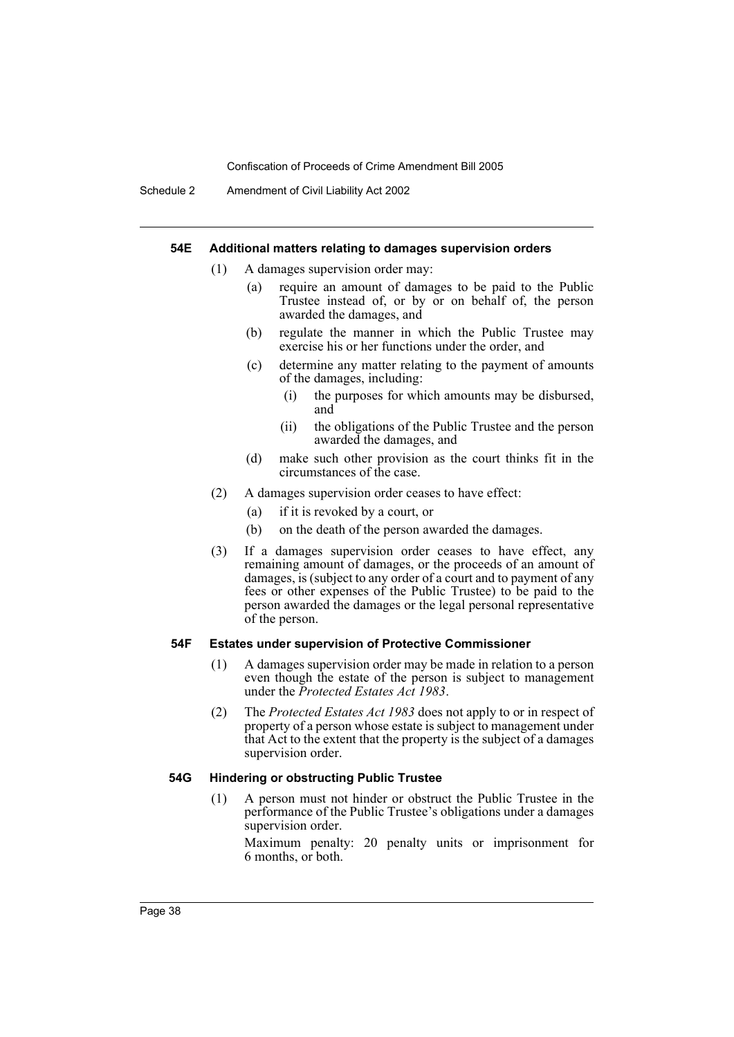#### **54E Additional matters relating to damages supervision orders**

- (1) A damages supervision order may:
	- (a) require an amount of damages to be paid to the Public Trustee instead of, or by or on behalf of, the person awarded the damages, and
	- (b) regulate the manner in which the Public Trustee may exercise his or her functions under the order, and
	- (c) determine any matter relating to the payment of amounts of the damages, including:
		- (i) the purposes for which amounts may be disbursed, and
		- (ii) the obligations of the Public Trustee and the person awarded the damages, and
	- (d) make such other provision as the court thinks fit in the circumstances of the case.
- (2) A damages supervision order ceases to have effect:
	- (a) if it is revoked by a court, or
	- (b) on the death of the person awarded the damages.
- (3) If a damages supervision order ceases to have effect, any remaining amount of damages, or the proceeds of an amount of damages, is (subject to any order of a court and to payment of any fees or other expenses of the Public Trustee) to be paid to the person awarded the damages or the legal personal representative of the person.

#### **54F Estates under supervision of Protective Commissioner**

- (1) A damages supervision order may be made in relation to a person even though the estate of the person is subject to management under the *Protected Estates Act 1983*.
- (2) The *Protected Estates Act 1983* does not apply to or in respect of property of a person whose estate is subject to management under that Act to the extent that the property is the subject of a damages supervision order.

#### **54G Hindering or obstructing Public Trustee**

(1) A person must not hinder or obstruct the Public Trustee in the performance of the Public Trustee's obligations under a damages supervision order.

Maximum penalty: 20 penalty units or imprisonment for 6 months, or both.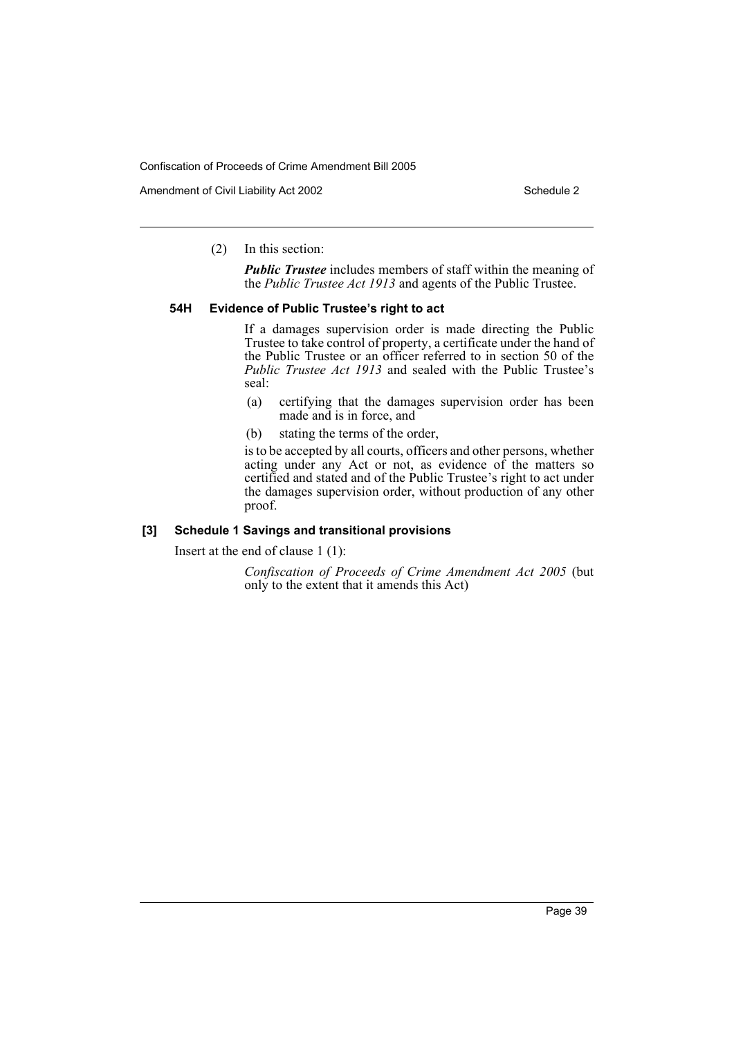Amendment of Civil Liability Act 2002 Schedule 2

(2) In this section:

*Public Trustee* includes members of staff within the meaning of the *Public Trustee Act 1913* and agents of the Public Trustee.

#### **54H Evidence of Public Trustee's right to act**

If a damages supervision order is made directing the Public Trustee to take control of property, a certificate under the hand of the Public Trustee or an officer referred to in section 50 of the *Public Trustee Act 1913* and sealed with the Public Trustee's seal:

- (a) certifying that the damages supervision order has been made and is in force, and
- (b) stating the terms of the order,

is to be accepted by all courts, officers and other persons, whether acting under any Act or not, as evidence of the matters so certified and stated and of the Public Trustee's right to act under the damages supervision order, without production of any other proof.

### **[3] Schedule 1 Savings and transitional provisions**

Insert at the end of clause 1 (1):

*Confiscation of Proceeds of Crime Amendment Act 2005* (but only to the extent that it amends this Act)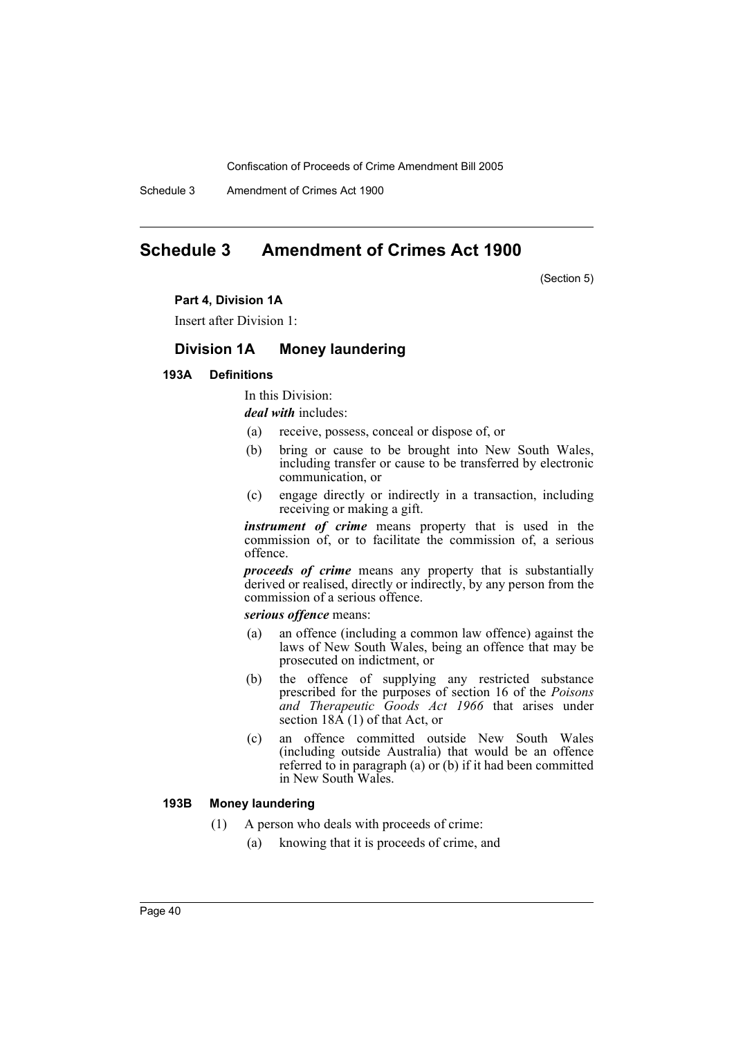Schedule 3 Amendment of Crimes Act 1900

# <span id="page-40-0"></span>**Schedule 3 Amendment of Crimes Act 1900**

(Section 5)

#### **Part 4, Division 1A**

Insert after Division 1:

# **Division 1A Money laundering**

#### **193A Definitions**

In this Division:

*deal with* includes:

- (a) receive, possess, conceal or dispose of, or
- (b) bring or cause to be brought into New South Wales, including transfer or cause to be transferred by electronic communication, or
- (c) engage directly or indirectly in a transaction, including receiving or making a gift.

*instrument of crime* means property that is used in the commission of, or to facilitate the commission of, a serious offence.

*proceeds of crime* means any property that is substantially derived or realised, directly or indirectly, by any person from the commission of a serious offence.

*serious offence* means:

- (a) an offence (including a common law offence) against the laws of New South Wales, being an offence that may be prosecuted on indictment, or
- (b) the offence of supplying any restricted substance prescribed for the purposes of section 16 of the *Poisons and Therapeutic Goods Act 1966* that arises under section  $18\vec{A}$  (1) of that Act, or
- (c) an offence committed outside New South Wales (including outside Australia) that would be an offence referred to in paragraph (a) or (b) if it had been committed in New South Wales.

# **193B Money laundering**

- (1) A person who deals with proceeds of crime:
	- (a) knowing that it is proceeds of crime, and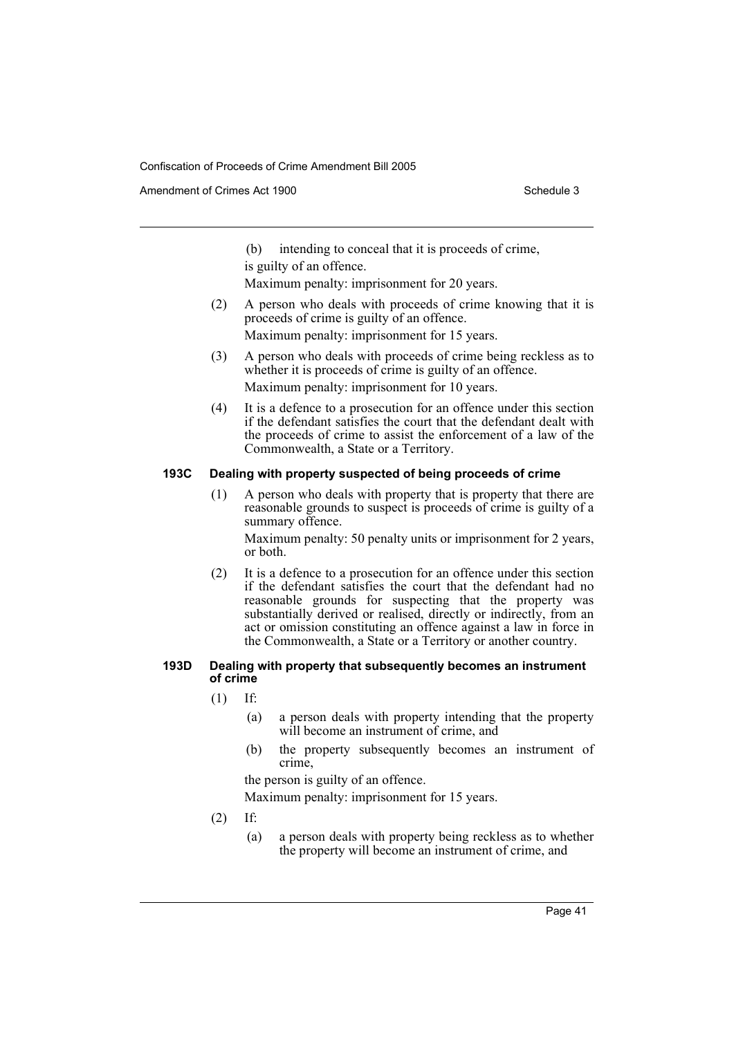Amendment of Crimes Act 1900 Schedule 3

(b) intending to conceal that it is proceeds of crime, is guilty of an offence.

Maximum penalty: imprisonment for 20 years.

- (2) A person who deals with proceeds of crime knowing that it is proceeds of crime is guilty of an offence. Maximum penalty: imprisonment for 15 years.
- (3) A person who deals with proceeds of crime being reckless as to whether it is proceeds of crime is guilty of an offence. Maximum penalty: imprisonment for 10 years.
- (4) It is a defence to a prosecution for an offence under this section if the defendant satisfies the court that the defendant dealt with the proceeds of crime to assist the enforcement of a law of the Commonwealth, a State or a Territory.

### **193C Dealing with property suspected of being proceeds of crime**

(1) A person who deals with property that is property that there are reasonable grounds to suspect is proceeds of crime is guilty of a summary offence.

Maximum penalty: 50 penalty units or imprisonment for 2 years, or both.

(2) It is a defence to a prosecution for an offence under this section if the defendant satisfies the court that the defendant had no reasonable grounds for suspecting that the property was substantially derived or realised, directly or indirectly, from an act or omission constituting an offence against a law in force in the Commonwealth, a State or a Territory or another country.

#### **193D Dealing with property that subsequently becomes an instrument of crime**

- (1) If:
	- (a) a person deals with property intending that the property will become an instrument of crime, and
	- (b) the property subsequently becomes an instrument of crime,

the person is guilty of an offence.

Maximum penalty: imprisonment for 15 years.

- (2) If:
	- (a) a person deals with property being reckless as to whether the property will become an instrument of crime, and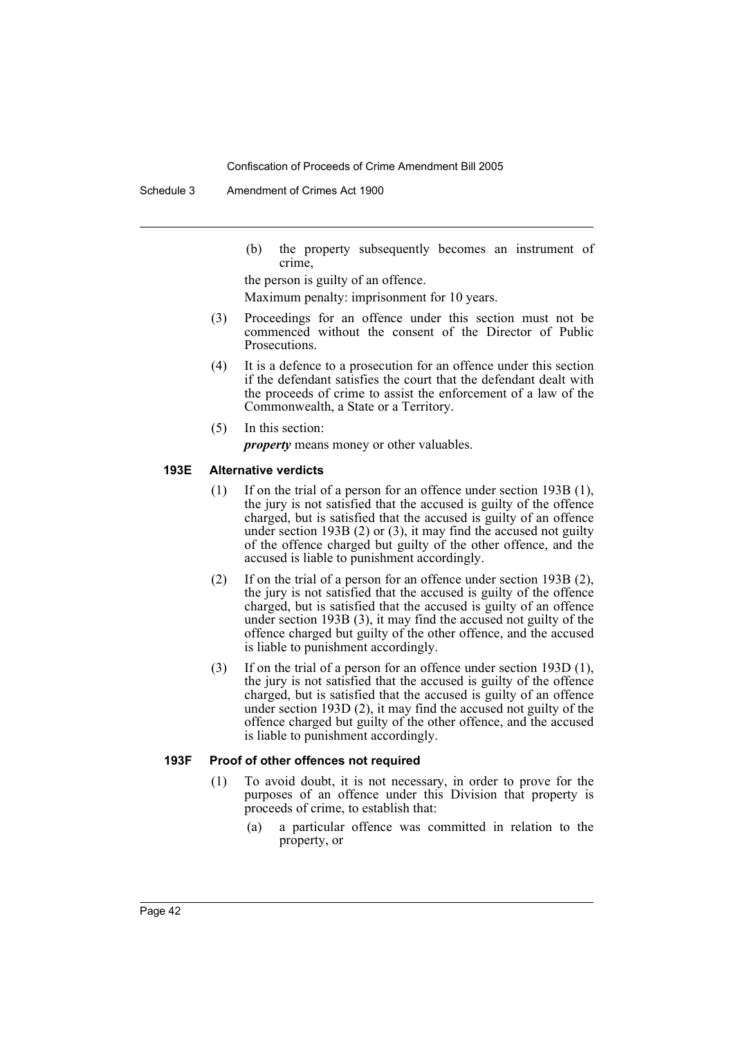Schedule 3 Amendment of Crimes Act 1900

(b) the property subsequently becomes an instrument of crime,

the person is guilty of an offence. Maximum penalty: imprisonment for 10 years.

- (3) Proceedings for an offence under this section must not be commenced without the consent of the Director of Public Prosecutions.
- (4) It is a defence to a prosecution for an offence under this section if the defendant satisfies the court that the defendant dealt with the proceeds of crime to assist the enforcement of a law of the Commonwealth, a State or a Territory.
- (5) In this section:

*property* means money or other valuables.

#### **193E Alternative verdicts**

- (1) If on the trial of a person for an offence under section 193B (1), the jury is not satisfied that the accused is guilty of the offence charged, but is satisfied that the accused is guilty of an offence under section 193B (2) or (3), it may find the accused not guilty of the offence charged but guilty of the other offence, and the accused is liable to punishment accordingly.
- (2) If on the trial of a person for an offence under section 193B (2), the jury is not satisfied that the accused is guilty of the offence charged, but is satisfied that the accused is guilty of an offence under section 193B (3), it may find the accused not guilty of the offence charged but guilty of the other offence, and the accused is liable to punishment accordingly.
- (3) If on the trial of a person for an offence under section 193D (1), the jury is not satisfied that the accused is guilty of the offence charged, but is satisfied that the accused is guilty of an offence under section 193D (2), it may find the accused not guilty of the offence charged but guilty of the other offence, and the accused is liable to punishment accordingly.

#### **193F Proof of other offences not required**

- (1) To avoid doubt, it is not necessary, in order to prove for the purposes of an offence under this Division that property is proceeds of crime, to establish that:
	- (a) a particular offence was committed in relation to the property, or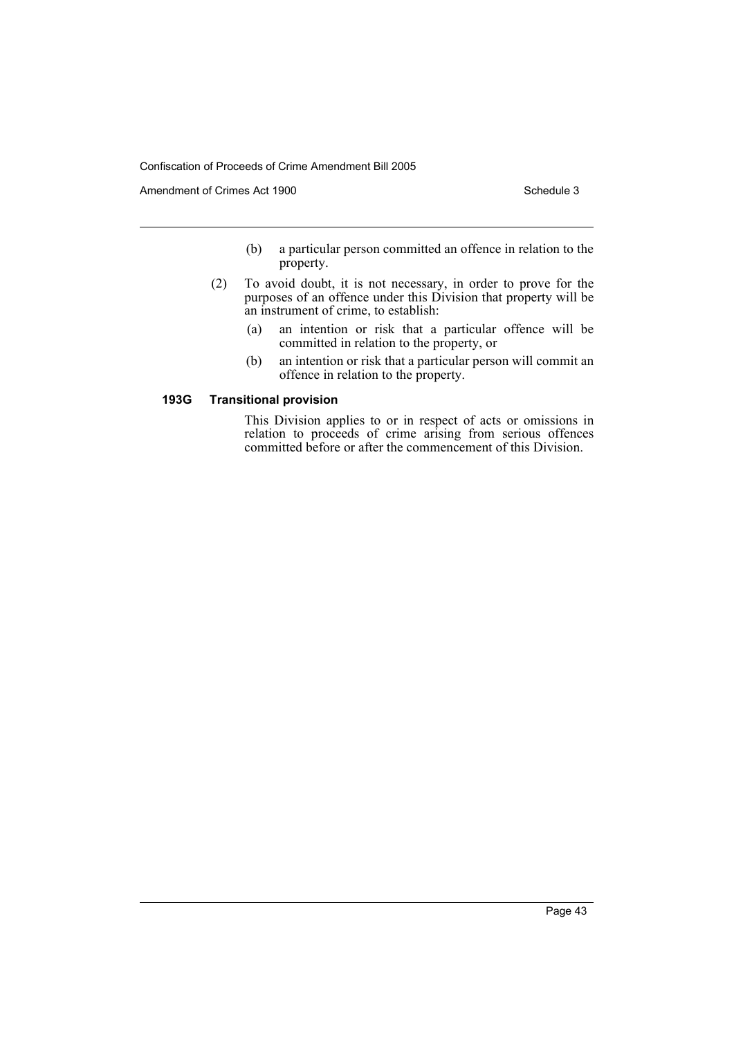Amendment of Crimes Act 1900 Schedule 3

- (b) a particular person committed an offence in relation to the property.
- (2) To avoid doubt, it is not necessary, in order to prove for the purposes of an offence under this Division that property will be an instrument of crime, to establish:
	- (a) an intention or risk that a particular offence will be committed in relation to the property, or
	- (b) an intention or risk that a particular person will commit an offence in relation to the property.

### **193G Transitional provision**

This Division applies to or in respect of acts or omissions in relation to proceeds of crime arising from serious offences committed before or after the commencement of this Division.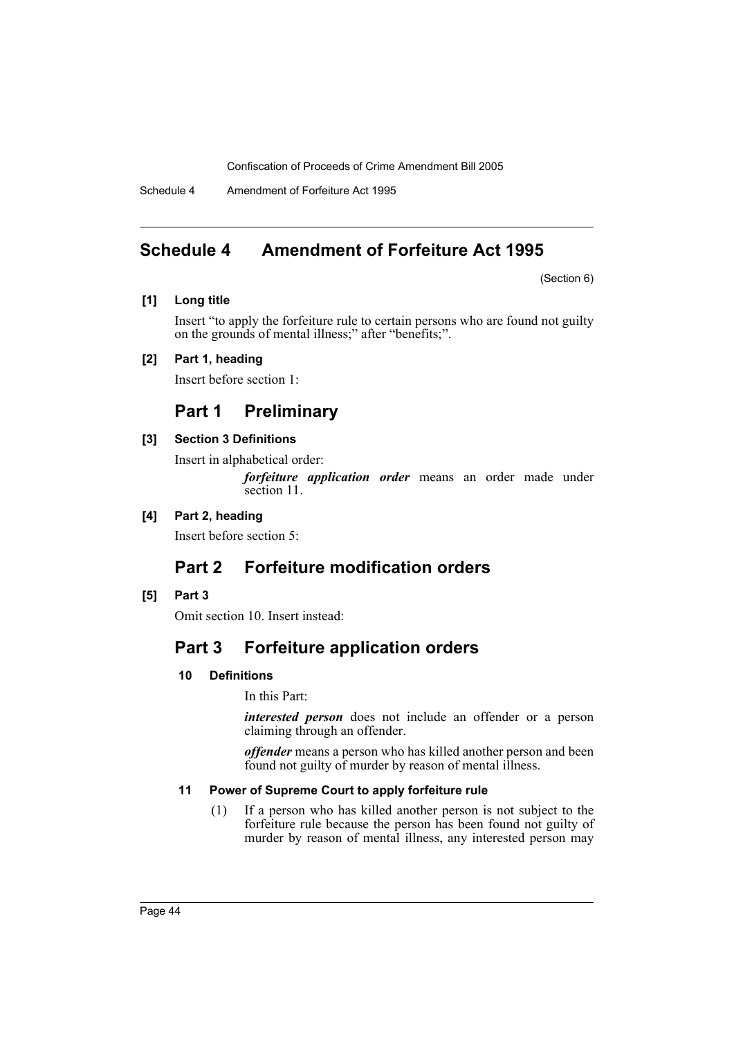Schedule 4 Amendment of Forfeiture Act 1995

# <span id="page-44-0"></span>**Schedule 4 Amendment of Forfeiture Act 1995**

(Section 6)

### **[1] Long title**

Insert "to apply the forfeiture rule to certain persons who are found not guilty on the grounds of mental illness;" after "benefits;".

# **[2] Part 1, heading**

Insert before section 1:

# **Part 1 Preliminary**

# **[3] Section 3 Definitions**

Insert in alphabetical order:

*forfeiture application order* means an order made under section 11.

# **[4] Part 2, heading**

Insert before section 5:

# **Part 2 Forfeiture modification orders**

# **[5] Part 3**

Omit section 10. Insert instead:

# **Part 3 Forfeiture application orders**

# **10 Definitions**

In this Part:

*interested person* does not include an offender or a person claiming through an offender.

*offender* means a person who has killed another person and been found not guilty of murder by reason of mental illness.

# **11 Power of Supreme Court to apply forfeiture rule**

(1) If a person who has killed another person is not subject to the forfeiture rule because the person has been found not guilty of murder by reason of mental illness, any interested person may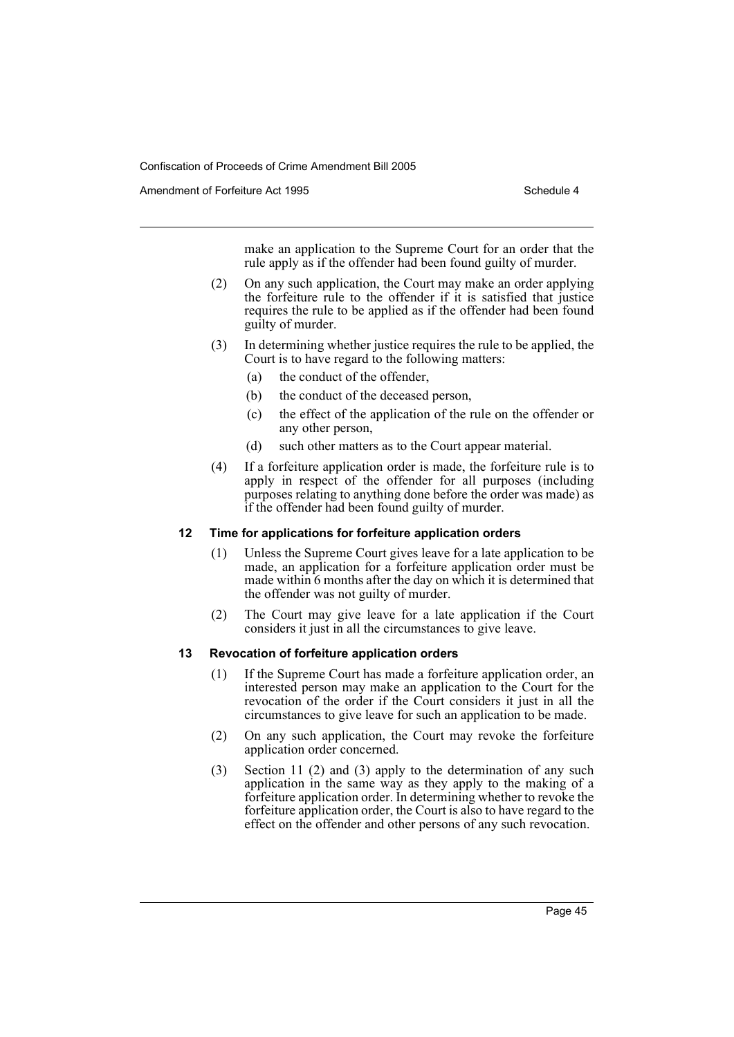Amendment of Forfeiture Act 1995 Schedule 4

make an application to the Supreme Court for an order that the rule apply as if the offender had been found guilty of murder.

- (2) On any such application, the Court may make an order applying the forfeiture rule to the offender if it is satisfied that justice requires the rule to be applied as if the offender had been found guilty of murder.
- (3) In determining whether justice requires the rule to be applied, the Court is to have regard to the following matters:
	- (a) the conduct of the offender,
	- (b) the conduct of the deceased person,
	- (c) the effect of the application of the rule on the offender or any other person,
	- (d) such other matters as to the Court appear material.
- (4) If a forfeiture application order is made, the forfeiture rule is to apply in respect of the offender for all purposes (including purposes relating to anything done before the order was made) as if the offender had been found guilty of murder.

### **12 Time for applications for forfeiture application orders**

- (1) Unless the Supreme Court gives leave for a late application to be made, an application for a forfeiture application order must be made within 6 months after the day on which it is determined that the offender was not guilty of murder.
- (2) The Court may give leave for a late application if the Court considers it just in all the circumstances to give leave.

### **13 Revocation of forfeiture application orders**

- (1) If the Supreme Court has made a forfeiture application order, an interested person may make an application to the Court for the revocation of the order if the Court considers it just in all the circumstances to give leave for such an application to be made.
- (2) On any such application, the Court may revoke the forfeiture application order concerned.
- (3) Section 11 (2) and (3) apply to the determination of any such application in the same way as they apply to the making of a forfeiture application order. In determining whether to revoke the forfeiture application order, the Court is also to have regard to the effect on the offender and other persons of any such revocation.